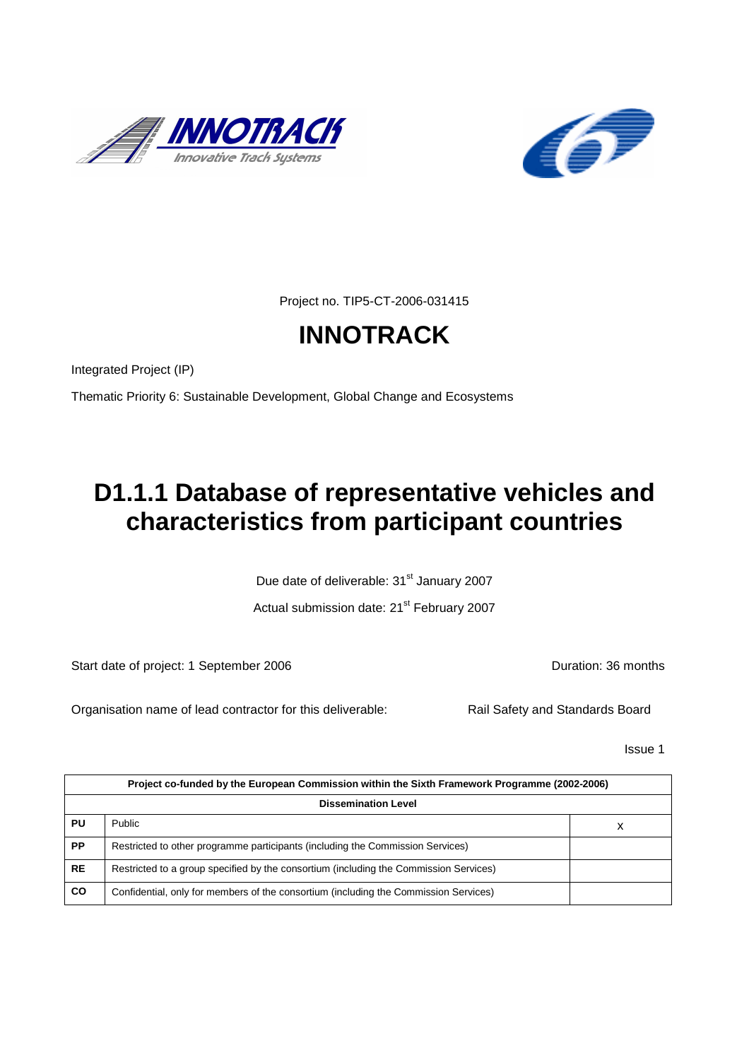



Project no. TIP5-CT-2006-031415

# **INNOTRACK**

Integrated Project (IP)

Thematic Priority 6: Sustainable Development, Global Change and Ecosystems

# **D1.1.1 Database of representative vehicles and characteristics from participant countries**

Due date of deliverable: 31<sup>st</sup> January 2007

Actual submission date: 21<sup>st</sup> February 2007

Start date of project: 1 September 2006 **Duration: 36 months** 

Organisation name of lead contractor for this deliverable: Rail Safety and Standards Board

Issue 1

|           | Project co-funded by the European Commission within the Sixth Framework Programme (2002-2006) |   |  |  |  |  |  |  |  |  |  |
|-----------|-----------------------------------------------------------------------------------------------|---|--|--|--|--|--|--|--|--|--|
|           | <b>Dissemination Level</b>                                                                    |   |  |  |  |  |  |  |  |  |  |
| PU        | <b>Public</b>                                                                                 | х |  |  |  |  |  |  |  |  |  |
| <b>PP</b> | Restricted to other programme participants (including the Commission Services)                |   |  |  |  |  |  |  |  |  |  |
| <b>RE</b> | Restricted to a group specified by the consortium (including the Commission Services)         |   |  |  |  |  |  |  |  |  |  |
| <b>CO</b> | Confidential, only for members of the consortium (including the Commission Services)          |   |  |  |  |  |  |  |  |  |  |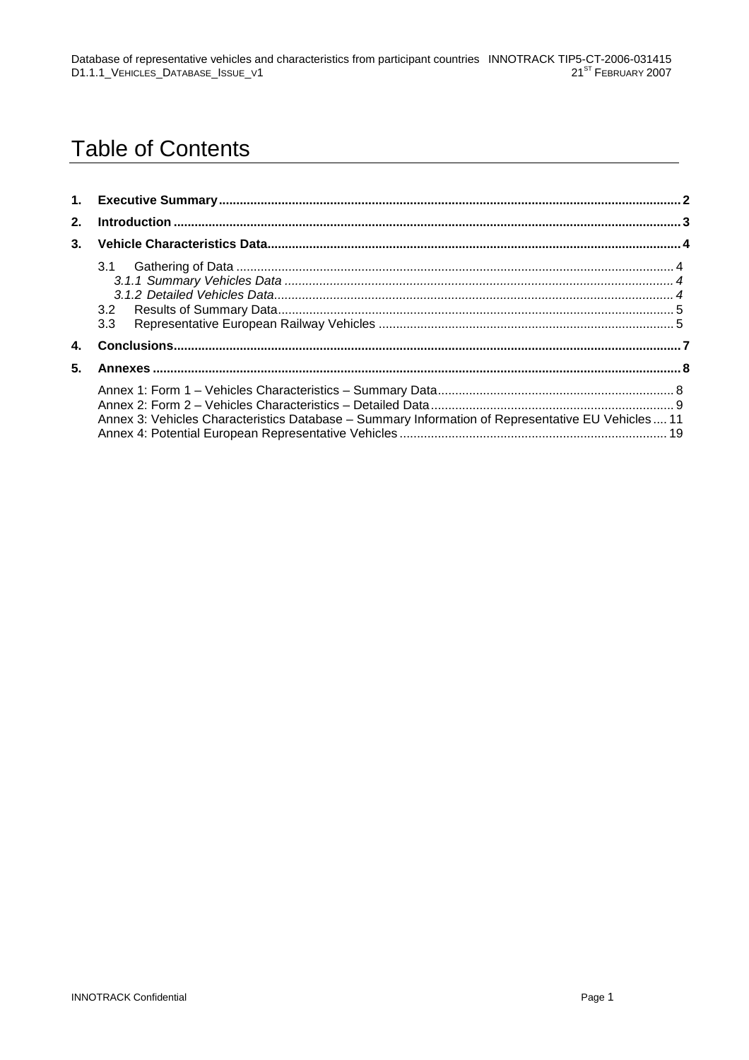## **Table of Contents**

| 3 <sub>1</sub> |                                                                                                   |  |
|----------------|---------------------------------------------------------------------------------------------------|--|
|                | 3.3                                                                                               |  |
| 4.             |                                                                                                   |  |
| 5.             |                                                                                                   |  |
|                | Annex 3: Vehicles Characteristics Database - Summary Information of Representative EU Vehicles 11 |  |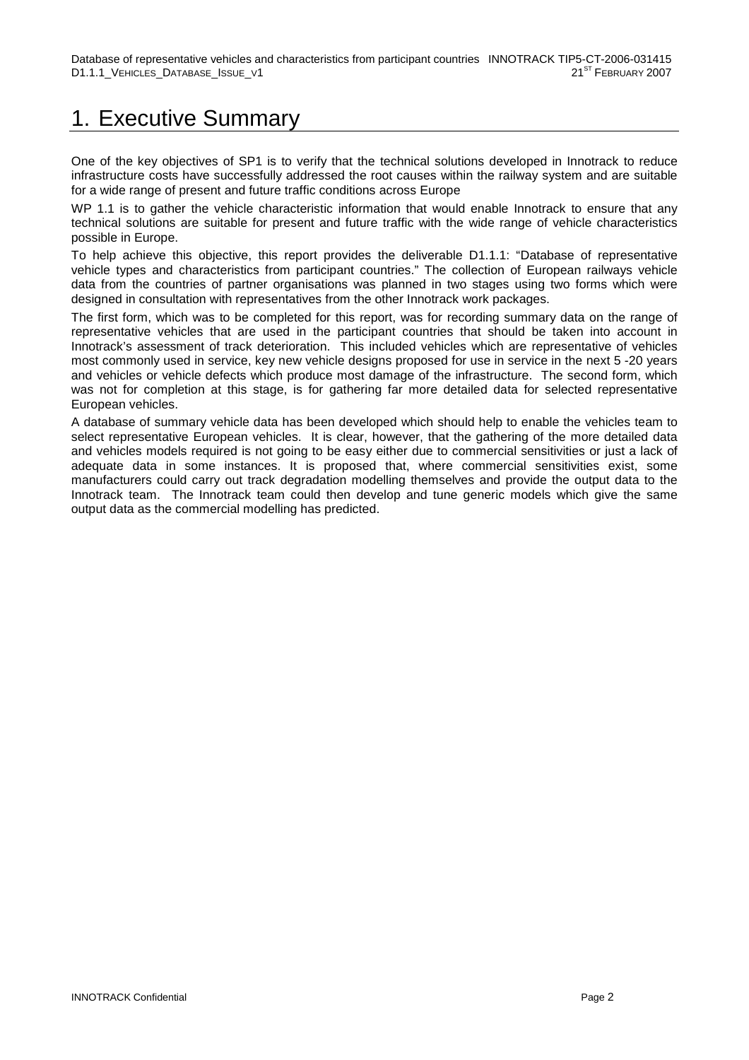## 1. Executive Summary

One of the key objectives of SP1 is to verify that the technical solutions developed in Innotrack to reduce infrastructure costs have successfully addressed the root causes within the railway system and are suitable for a wide range of present and future traffic conditions across Europe

WP 1.1 is to gather the vehicle characteristic information that would enable Innotrack to ensure that any technical solutions are suitable for present and future traffic with the wide range of vehicle characteristics possible in Europe.

To help achieve this objective, this report provides the deliverable D1.1.1: "Database of representative vehicle types and characteristics from participant countries." The collection of European railways vehicle data from the countries of partner organisations was planned in two stages using two forms which were designed in consultation with representatives from the other Innotrack work packages.

The first form, which was to be completed for this report, was for recording summary data on the range of representative vehicles that are used in the participant countries that should be taken into account in Innotrack's assessment of track deterioration. This included vehicles which are representative of vehicles most commonly used in service, key new vehicle designs proposed for use in service in the next 5 -20 years and vehicles or vehicle defects which produce most damage of the infrastructure. The second form, which was not for completion at this stage, is for gathering far more detailed data for selected representative European vehicles.

A database of summary vehicle data has been developed which should help to enable the vehicles team to select representative European vehicles. It is clear, however, that the gathering of the more detailed data and vehicles models required is not going to be easy either due to commercial sensitivities or just a lack of adequate data in some instances. It is proposed that, where commercial sensitivities exist, some manufacturers could carry out track degradation modelling themselves and provide the output data to the Innotrack team. The Innotrack team could then develop and tune generic models which give the same output data as the commercial modelling has predicted.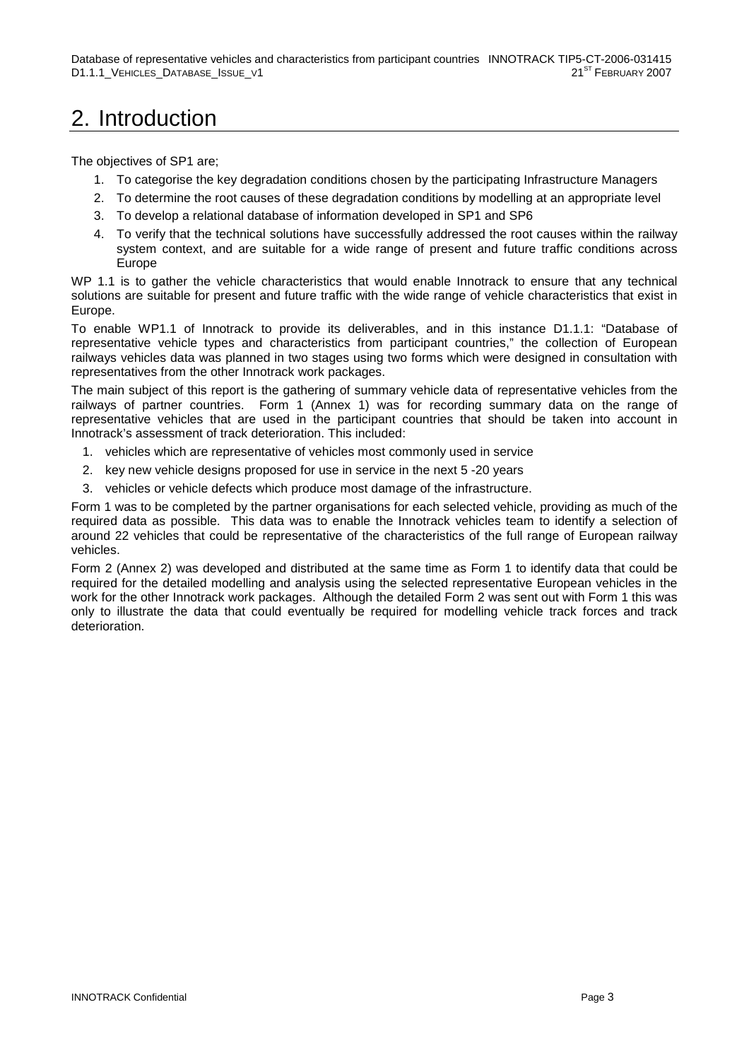## 2. Introduction

The objectives of SP1 are;

- 1. To categorise the key degradation conditions chosen by the participating Infrastructure Managers
- 2. To determine the root causes of these degradation conditions by modelling at an appropriate level
- 3. To develop a relational database of information developed in SP1 and SP6
- 4. To verify that the technical solutions have successfully addressed the root causes within the railway system context, and are suitable for a wide range of present and future traffic conditions across Europe

WP 1.1 is to gather the vehicle characteristics that would enable Innotrack to ensure that any technical solutions are suitable for present and future traffic with the wide range of vehicle characteristics that exist in Europe.

To enable WP1.1 of Innotrack to provide its deliverables, and in this instance D1.1.1: "Database of representative vehicle types and characteristics from participant countries," the collection of European railways vehicles data was planned in two stages using two forms which were designed in consultation with representatives from the other Innotrack work packages.

The main subject of this report is the gathering of summary vehicle data of representative vehicles from the railways of partner countries. Form 1 (Annex 1) was for recording summary data on the range of representative vehicles that are used in the participant countries that should be taken into account in Innotrack's assessment of track deterioration. This included:

- 1. vehicles which are representative of vehicles most commonly used in service
- 2. key new vehicle designs proposed for use in service in the next 5 -20 years
- 3. vehicles or vehicle defects which produce most damage of the infrastructure.

Form 1 was to be completed by the partner organisations for each selected vehicle, providing as much of the required data as possible. This data was to enable the Innotrack vehicles team to identify a selection of around 22 vehicles that could be representative of the characteristics of the full range of European railway vehicles.

Form 2 (Annex 2) was developed and distributed at the same time as Form 1 to identify data that could be required for the detailed modelling and analysis using the selected representative European vehicles in the work for the other Innotrack work packages. Although the detailed Form 2 was sent out with Form 1 this was only to illustrate the data that could eventually be required for modelling vehicle track forces and track deterioration.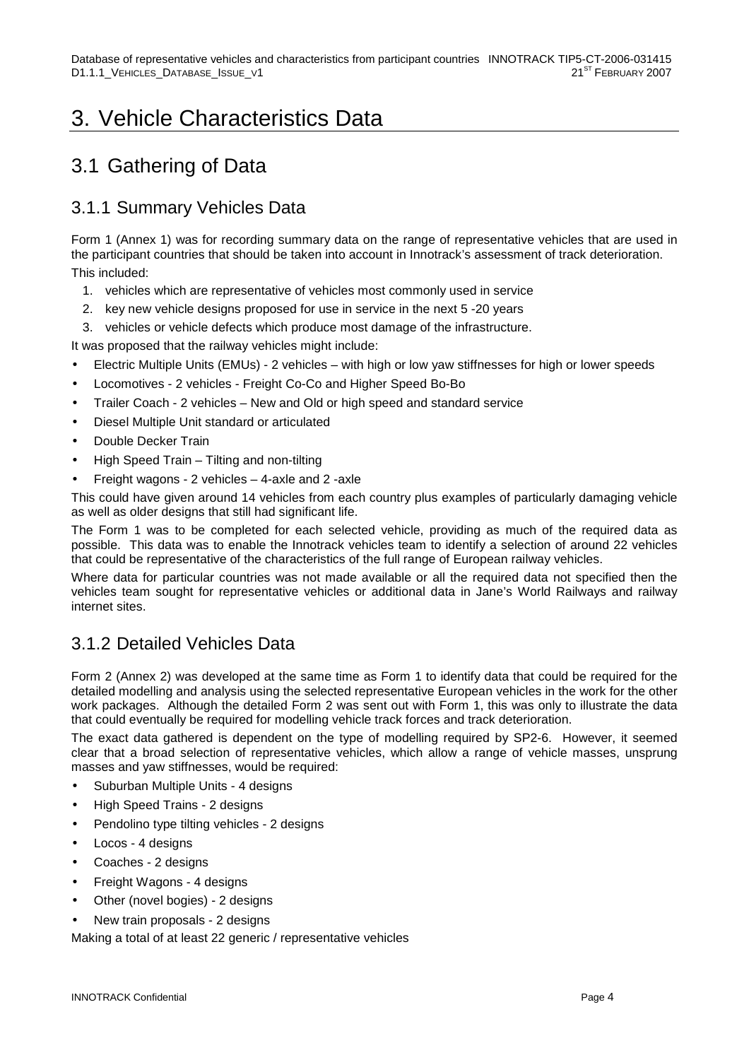## 3. Vehicle Characteristics Data

### 3.1 Gathering of Data

#### 3.1.1 Summary Vehicles Data

Form 1 (Annex 1) was for recording summary data on the range of representative vehicles that are used in the participant countries that should be taken into account in Innotrack's assessment of track deterioration. This included:

- 1. vehicles which are representative of vehicles most commonly used in service
- 2. key new vehicle designs proposed for use in service in the next 5 -20 years
- 3. vehicles or vehicle defects which produce most damage of the infrastructure.

It was proposed that the railway vehicles might include:

- Electric Multiple Units (EMUs) 2 vehicles with high or low yaw stiffnesses for high or lower speeds
- Locomotives 2 vehicles Freight Co-Co and Higher Speed Bo-Bo
- Trailer Coach 2 vehicles New and Old or high speed and standard service
- Diesel Multiple Unit standard or articulated
- Double Decker Train
- High Speed Train Tilting and non-tilting
- Freight wagons 2 vehicles 4-axle and 2 -axle

This could have given around 14 vehicles from each country plus examples of particularly damaging vehicle as well as older designs that still had significant life.

The Form 1 was to be completed for each selected vehicle, providing as much of the required data as possible. This data was to enable the Innotrack vehicles team to identify a selection of around 22 vehicles that could be representative of the characteristics of the full range of European railway vehicles.

Where data for particular countries was not made available or all the required data not specified then the vehicles team sought for representative vehicles or additional data in Jane's World Railways and railway internet sites.

#### 3.1.2 Detailed Vehicles Data

Form 2 (Annex 2) was developed at the same time as Form 1 to identify data that could be required for the detailed modelling and analysis using the selected representative European vehicles in the work for the other work packages. Although the detailed Form 2 was sent out with Form 1, this was only to illustrate the data that could eventually be required for modelling vehicle track forces and track deterioration.

The exact data gathered is dependent on the type of modelling required by SP2-6. However, it seemed clear that a broad selection of representative vehicles, which allow a range of vehicle masses, unsprung masses and yaw stiffnesses, would be required:

- Suburban Multiple Units 4 designs
- High Speed Trains 2 designs
- Pendolino type tilting vehicles 2 designs
- Locos 4 designs
- Coaches 2 designs
- Freight Wagons 4 designs
- Other (novel bogies) 2 designs
- New train proposals 2 designs

Making a total of at least 22 generic / representative vehicles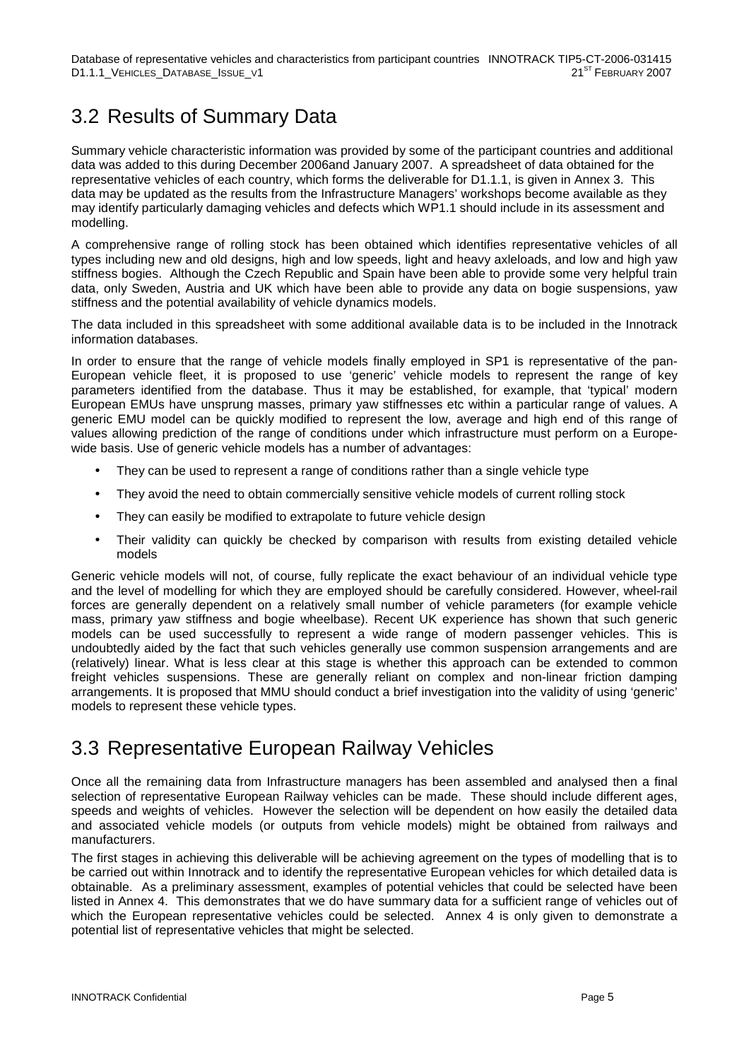### 3.2 Results of Summary Data

Summary vehicle characteristic information was provided by some of the participant countries and additional data was added to this during December 2006and January 2007. A spreadsheet of data obtained for the representative vehicles of each country, which forms the deliverable for D1.1.1, is given in Annex 3. This data may be updated as the results from the Infrastructure Managers' workshops become available as they may identify particularly damaging vehicles and defects which WP1.1 should include in its assessment and modelling.

A comprehensive range of rolling stock has been obtained which identifies representative vehicles of all types including new and old designs, high and low speeds, light and heavy axleloads, and low and high yaw stiffness bogies. Although the Czech Republic and Spain have been able to provide some very helpful train data, only Sweden, Austria and UK which have been able to provide any data on bogie suspensions, yaw stiffness and the potential availability of vehicle dynamics models.

The data included in this spreadsheet with some additional available data is to be included in the Innotrack information databases.

In order to ensure that the range of vehicle models finally employed in SP1 is representative of the pan-European vehicle fleet, it is proposed to use 'generic' vehicle models to represent the range of key parameters identified from the database. Thus it may be established, for example, that 'typical' modern European EMUs have unsprung masses, primary yaw stiffnesses etc within a particular range of values. A generic EMU model can be quickly modified to represent the low, average and high end of this range of values allowing prediction of the range of conditions under which infrastructure must perform on a Europewide basis. Use of generic vehicle models has a number of advantages:

- They can be used to represent a range of conditions rather than a single vehicle type
- They avoid the need to obtain commercially sensitive vehicle models of current rolling stock
- They can easily be modified to extrapolate to future vehicle design
- Their validity can quickly be checked by comparison with results from existing detailed vehicle models

Generic vehicle models will not, of course, fully replicate the exact behaviour of an individual vehicle type and the level of modelling for which they are employed should be carefully considered. However, wheel-rail forces are generally dependent on a relatively small number of vehicle parameters (for example vehicle mass, primary yaw stiffness and bogie wheelbase). Recent UK experience has shown that such generic models can be used successfully to represent a wide range of modern passenger vehicles. This is undoubtedly aided by the fact that such vehicles generally use common suspension arrangements and are (relatively) linear. What is less clear at this stage is whether this approach can be extended to common freight vehicles suspensions. These are generally reliant on complex and non-linear friction damping arrangements. It is proposed that MMU should conduct a brief investigation into the validity of using 'generic' models to represent these vehicle types.

### 3.3 Representative European Railway Vehicles

Once all the remaining data from Infrastructure managers has been assembled and analysed then a final selection of representative European Railway vehicles can be made. These should include different ages, speeds and weights of vehicles. However the selection will be dependent on how easily the detailed data and associated vehicle models (or outputs from vehicle models) might be obtained from railways and manufacturers.

The first stages in achieving this deliverable will be achieving agreement on the types of modelling that is to be carried out within Innotrack and to identify the representative European vehicles for which detailed data is obtainable. As a preliminary assessment, examples of potential vehicles that could be selected have been listed in Annex 4. This demonstrates that we do have summary data for a sufficient range of vehicles out of which the European representative vehicles could be selected. Annex 4 is only given to demonstrate a potential list of representative vehicles that might be selected.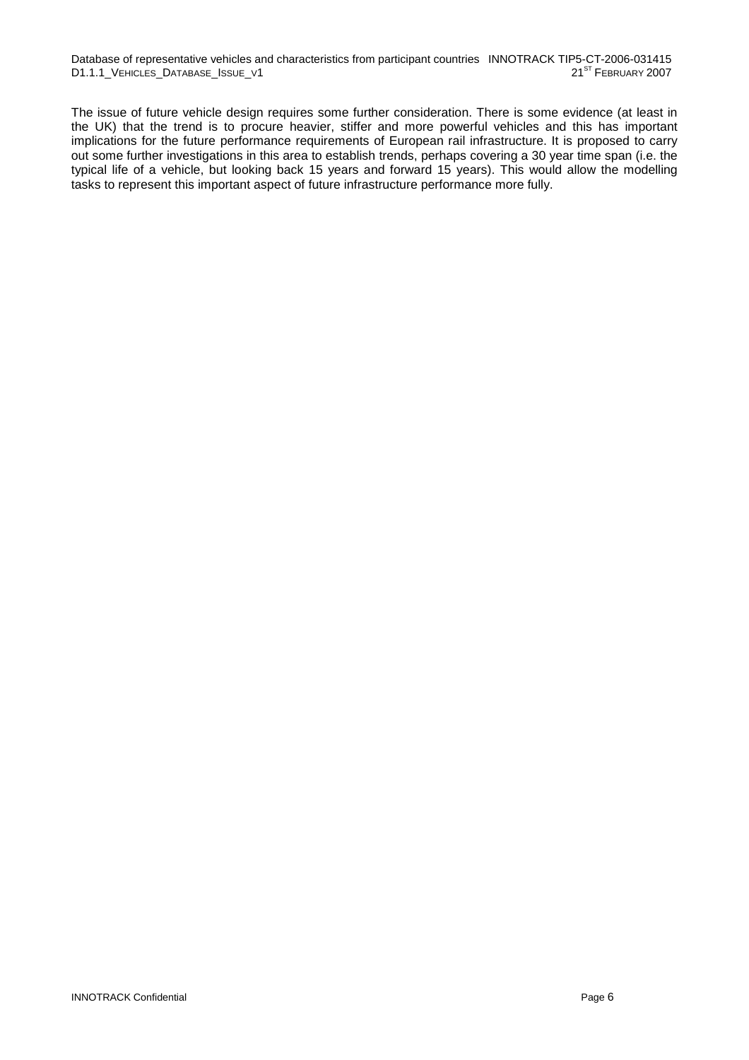Database of representative vehicles and characteristics from participant countries INNOTRACK TIP5-CT-2006-031415<br>D1.1.1 VEHICLES DATABASE ISSUE V1 D1.1.1\_VEHICLES\_DATABASE\_ISSUE\_V1

The issue of future vehicle design requires some further consideration. There is some evidence (at least in the UK) that the trend is to procure heavier, stiffer and more powerful vehicles and this has important implications for the future performance requirements of European rail infrastructure. It is proposed to carry out some further investigations in this area to establish trends, perhaps covering a 30 year time span (i.e. the typical life of a vehicle, but looking back 15 years and forward 15 years). This would allow the modelling tasks to represent this important aspect of future infrastructure performance more fully.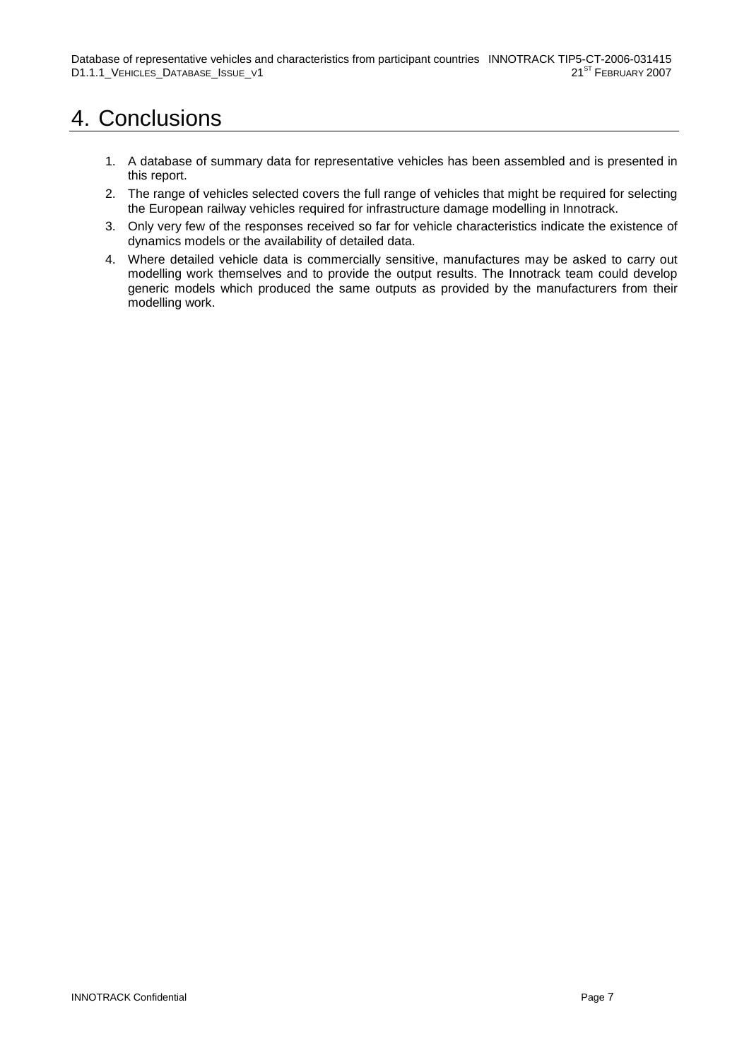## 4. Conclusions

- 1. A database of summary data for representative vehicles has been assembled and is presented in this report.
- 2. The range of vehicles selected covers the full range of vehicles that might be required for selecting the European railway vehicles required for infrastructure damage modelling in Innotrack.
- 3. Only very few of the responses received so far for vehicle characteristics indicate the existence of dynamics models or the availability of detailed data.
- 4. Where detailed vehicle data is commercially sensitive, manufactures may be asked to carry out modelling work themselves and to provide the output results. The Innotrack team could develop generic models which produced the same outputs as provided by the manufacturers from their modelling work.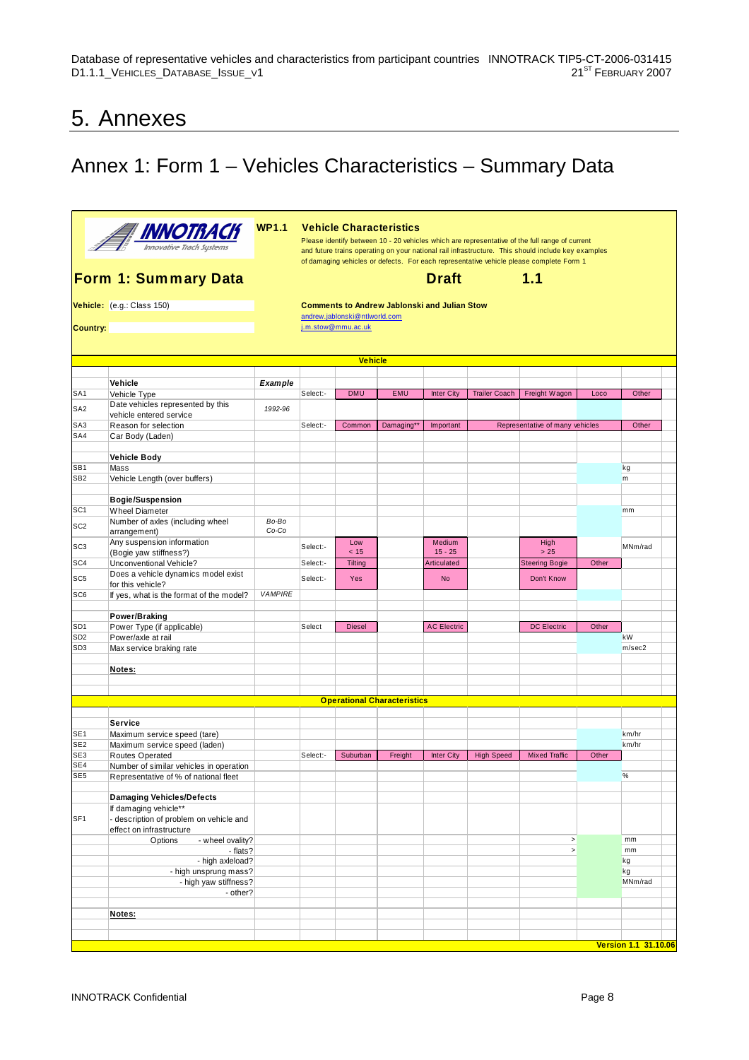### 5. Annexes

## Annex 1: Form 1 – Vehicles Characteristics – Summary Data

|                                    | <b>THE INNOTRACT</b>                                                             | <b>WP1.1</b>   | <b>Vehicle Characteristics</b><br>Please identify between 10 - 20 vehicles which are representative of the full range of current<br>and future trains operating on your national rail infrastructure. This should include key examples<br>of damaging vehicles or defects. For each representative vehicle please complete Form 1 |                                                     |            |                                                     |                      |                                 |       |                      |  |  |
|------------------------------------|----------------------------------------------------------------------------------|----------------|-----------------------------------------------------------------------------------------------------------------------------------------------------------------------------------------------------------------------------------------------------------------------------------------------------------------------------------|-----------------------------------------------------|------------|-----------------------------------------------------|----------------------|---------------------------------|-------|----------------------|--|--|
|                                    | Form 1: Summary Data                                                             |                |                                                                                                                                                                                                                                                                                                                                   |                                                     |            | <b>Draft</b>                                        |                      | 1.1                             |       |                      |  |  |
|                                    | Vehicle: (e.g.: Class 150)                                                       |                |                                                                                                                                                                                                                                                                                                                                   |                                                     |            | <b>Comments to Andrew Jablonski and Julian Stow</b> |                      |                                 |       |                      |  |  |
| <b>Country:</b>                    |                                                                                  |                |                                                                                                                                                                                                                                                                                                                                   | andrew.jablonski@ntlworld.com<br>j.m.stow@mmu.ac.uk |            |                                                     |                      |                                 |       |                      |  |  |
|                                    |                                                                                  |                |                                                                                                                                                                                                                                                                                                                                   |                                                     |            |                                                     |                      |                                 |       |                      |  |  |
|                                    |                                                                                  |                |                                                                                                                                                                                                                                                                                                                                   |                                                     |            |                                                     |                      |                                 |       |                      |  |  |
|                                    |                                                                                  |                |                                                                                                                                                                                                                                                                                                                                   | <b>Vehicle</b>                                      |            |                                                     |                      |                                 |       |                      |  |  |
|                                    | Vehicle                                                                          | Example        |                                                                                                                                                                                                                                                                                                                                   |                                                     |            |                                                     |                      |                                 |       |                      |  |  |
| SA <sub>1</sub>                    | Vehicle Type                                                                     |                | Select:-                                                                                                                                                                                                                                                                                                                          | <b>DMU</b>                                          | <b>EMU</b> | <b>Inter City</b>                                   | <b>Trailer Coach</b> | Freight Wagon                   | Loco  | Other                |  |  |
| SA <sub>2</sub>                    | Date vehicles represented by this                                                | 1992-96        |                                                                                                                                                                                                                                                                                                                                   |                                                     |            |                                                     |                      |                                 |       |                      |  |  |
| SA3                                | vehicle entered service<br>Reason for selection                                  |                | Select:-                                                                                                                                                                                                                                                                                                                          | Common                                              | Damaging** | Important                                           |                      | Representative of many vehicles |       | Other                |  |  |
| SA4                                | Car Body (Laden)                                                                 |                |                                                                                                                                                                                                                                                                                                                                   |                                                     |            |                                                     |                      |                                 |       |                      |  |  |
|                                    |                                                                                  |                |                                                                                                                                                                                                                                                                                                                                   |                                                     |            |                                                     |                      |                                 |       |                      |  |  |
|                                    | <b>Vehicle Body</b>                                                              |                |                                                                                                                                                                                                                                                                                                                                   |                                                     |            |                                                     |                      |                                 |       |                      |  |  |
| SB <sub>1</sub><br>SB <sub>2</sub> | Mass<br>Vehicle Length (over buffers)                                            |                |                                                                                                                                                                                                                                                                                                                                   |                                                     |            |                                                     |                      |                                 |       | kg<br>m              |  |  |
|                                    |                                                                                  |                |                                                                                                                                                                                                                                                                                                                                   |                                                     |            |                                                     |                      |                                 |       |                      |  |  |
|                                    | <b>Bogie/Suspension</b>                                                          |                |                                                                                                                                                                                                                                                                                                                                   |                                                     |            |                                                     |                      |                                 |       |                      |  |  |
| SC <sub>1</sub>                    | <b>Wheel Diameter</b>                                                            |                |                                                                                                                                                                                                                                                                                                                                   |                                                     |            |                                                     |                      |                                 |       | mm                   |  |  |
| SC <sub>2</sub>                    | Number of axles (including wheel<br>arrangement)                                 | Bo-Bo<br>Co-Co |                                                                                                                                                                                                                                                                                                                                   |                                                     |            |                                                     |                      |                                 |       |                      |  |  |
| SC <sub>3</sub>                    | Any suspension information<br>(Bogie yaw stiffness?)                             |                | Select:-                                                                                                                                                                                                                                                                                                                          | Low<br>< 15                                         |            | Medium<br>$15 - 25$                                 |                      | High<br>$>25$                   |       | MNm/rad              |  |  |
| SC <sub>4</sub>                    | Unconventional Vehicle?                                                          |                | Select:-                                                                                                                                                                                                                                                                                                                          | Tilting                                             |            | Articulated                                         |                      | <b>Steering Bogie</b>           | Other |                      |  |  |
| SC <sub>5</sub>                    | Does a vehicle dynamics model exist                                              |                | Select:-                                                                                                                                                                                                                                                                                                                          | Yes                                                 |            | <b>No</b>                                           |                      | Don't Know                      |       |                      |  |  |
| SC6                                | for this vehicle?                                                                | <b>VAMPIRE</b> |                                                                                                                                                                                                                                                                                                                                   |                                                     |            |                                                     |                      |                                 |       |                      |  |  |
|                                    | If yes, what is the format of the model?                                         |                |                                                                                                                                                                                                                                                                                                                                   |                                                     |            |                                                     |                      |                                 |       |                      |  |  |
|                                    | Power/Braking                                                                    |                |                                                                                                                                                                                                                                                                                                                                   |                                                     |            |                                                     |                      |                                 |       |                      |  |  |
| SD <sub>1</sub>                    | Power Type (if applicable)                                                       |                | Select                                                                                                                                                                                                                                                                                                                            | <b>Diesel</b>                                       |            | <b>AC Electric</b>                                  |                      | <b>DC Electric</b>              | Other |                      |  |  |
| SD <sub>2</sub><br>SD <sub>3</sub> | Power/axle at rail                                                               |                |                                                                                                                                                                                                                                                                                                                                   |                                                     |            |                                                     |                      |                                 |       | kW<br>m/sec2         |  |  |
|                                    | Max service braking rate                                                         |                |                                                                                                                                                                                                                                                                                                                                   |                                                     |            |                                                     |                      |                                 |       |                      |  |  |
|                                    | Notes:                                                                           |                |                                                                                                                                                                                                                                                                                                                                   |                                                     |            |                                                     |                      |                                 |       |                      |  |  |
|                                    |                                                                                  |                |                                                                                                                                                                                                                                                                                                                                   |                                                     |            |                                                     |                      |                                 |       |                      |  |  |
|                                    |                                                                                  |                |                                                                                                                                                                                                                                                                                                                                   | <b>Operational Characteristics</b>                  |            |                                                     |                      |                                 |       |                      |  |  |
|                                    |                                                                                  |                |                                                                                                                                                                                                                                                                                                                                   |                                                     |            |                                                     |                      |                                 |       |                      |  |  |
|                                    | Service                                                                          |                |                                                                                                                                                                                                                                                                                                                                   |                                                     |            |                                                     |                      |                                 |       |                      |  |  |
| SE <sub>1</sub>                    | Maximum service speed (tare)                                                     |                |                                                                                                                                                                                                                                                                                                                                   |                                                     |            |                                                     |                      |                                 |       | km/hr                |  |  |
| SE <sub>2</sub>                    | Maximum service speed (laden)                                                    |                |                                                                                                                                                                                                                                                                                                                                   |                                                     |            |                                                     |                      |                                 |       | km/hr                |  |  |
| SE3<br>SE4                         | Routes Operated                                                                  |                | Select:-                                                                                                                                                                                                                                                                                                                          | Suburban                                            | Freight    | <b>Inter City</b>                                   | <b>High Speed</b>    | <b>Mixed Traffic</b>            | Other |                      |  |  |
| SE <sub>5</sub>                    | Number of similar vehicles in operation<br>Representative of % of national fleet |                |                                                                                                                                                                                                                                                                                                                                   |                                                     |            |                                                     |                      |                                 |       | %                    |  |  |
|                                    |                                                                                  |                |                                                                                                                                                                                                                                                                                                                                   |                                                     |            |                                                     |                      |                                 |       |                      |  |  |
|                                    | <b>Damaging Vehicles/Defects</b>                                                 |                |                                                                                                                                                                                                                                                                                                                                   |                                                     |            |                                                     |                      |                                 |       |                      |  |  |
| SF <sub>1</sub>                    | If damaging vehicle**<br>- description of problem on vehicle and                 |                |                                                                                                                                                                                                                                                                                                                                   |                                                     |            |                                                     |                      |                                 |       |                      |  |  |
|                                    | effect on infrastructure<br>Options<br>- wheel ovality?                          |                |                                                                                                                                                                                                                                                                                                                                   |                                                     |            |                                                     |                      | $\, >$                          |       | mm                   |  |  |
|                                    | - flats?                                                                         |                |                                                                                                                                                                                                                                                                                                                                   |                                                     |            |                                                     |                      | $\, >$                          |       | mm                   |  |  |
|                                    | - high axleload?                                                                 |                |                                                                                                                                                                                                                                                                                                                                   |                                                     |            |                                                     |                      |                                 |       | kg                   |  |  |
|                                    | - high unsprung mass?                                                            |                |                                                                                                                                                                                                                                                                                                                                   |                                                     |            |                                                     |                      |                                 |       | kg                   |  |  |
|                                    | - high yaw stiffness?                                                            |                |                                                                                                                                                                                                                                                                                                                                   |                                                     |            |                                                     |                      |                                 |       | MNm/rad              |  |  |
|                                    | - other?                                                                         |                |                                                                                                                                                                                                                                                                                                                                   |                                                     |            |                                                     |                      |                                 |       |                      |  |  |
|                                    | Notes:                                                                           |                |                                                                                                                                                                                                                                                                                                                                   |                                                     |            |                                                     |                      |                                 |       |                      |  |  |
|                                    |                                                                                  |                |                                                                                                                                                                                                                                                                                                                                   |                                                     |            |                                                     |                      |                                 |       |                      |  |  |
|                                    |                                                                                  |                |                                                                                                                                                                                                                                                                                                                                   |                                                     |            |                                                     |                      |                                 |       |                      |  |  |
|                                    |                                                                                  |                |                                                                                                                                                                                                                                                                                                                                   |                                                     |            |                                                     |                      |                                 |       | Version 1.1 31.10.06 |  |  |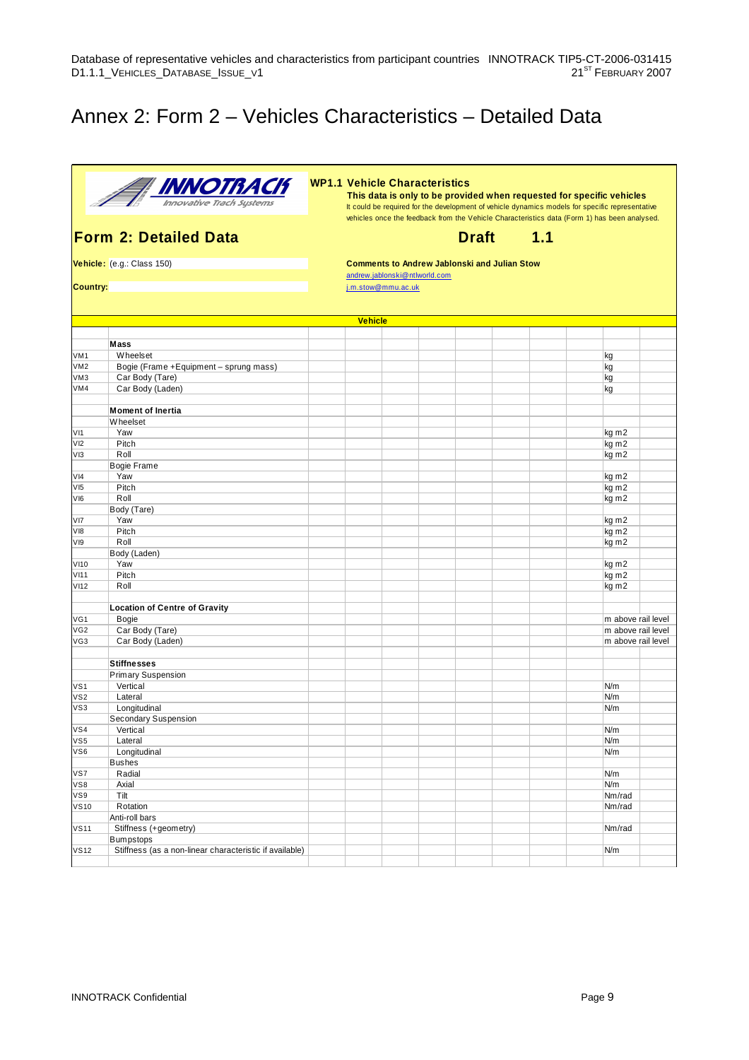### Annex 2: Form 2 – Vehicles Characteristics – Detailed Data



**WP1.1 Vehicle Characteristics**

**This data is only to be provided when requested for specific vehicles** It could be required for the development of vehicle dynamics models for specific representative vehicles once the feedback from the Vehicle Characteristics data (Form 1) has been analysed.

**Form 2: Detailed Data** Draft Draft **1.1**

**Vehicle:** (e.g.: Class 150) **Comments to Andrew Jablonski and Julian Stow** andrew.jablonski@ntlworld.com

**Country:** j.m.stow@mmu.ac.uk

|                 |                                                         | <b>Vehicle</b> |  |  |  |                    |  |
|-----------------|---------------------------------------------------------|----------------|--|--|--|--------------------|--|
|                 |                                                         |                |  |  |  |                    |  |
|                 | <b>Mass</b>                                             |                |  |  |  |                    |  |
| VM1             | Wheelset                                                |                |  |  |  | kg                 |  |
| VM2             | Bogie (Frame +Equipment - sprung mass)                  |                |  |  |  | kg                 |  |
| VM3             | Car Body (Tare)                                         |                |  |  |  | kg                 |  |
| VM4             | Car Body (Laden)                                        |                |  |  |  | kg                 |  |
|                 |                                                         |                |  |  |  |                    |  |
|                 | <b>Moment of Inertia</b>                                |                |  |  |  |                    |  |
|                 | Wheelset                                                |                |  |  |  |                    |  |
| VI1             | Yaw                                                     |                |  |  |  | kg m2              |  |
| VI2             | Pitch                                                   |                |  |  |  | kg m2              |  |
| VI3             | Roll                                                    |                |  |  |  | kg m2              |  |
|                 | Bogie Frame                                             |                |  |  |  |                    |  |
| VI4             | Yaw                                                     |                |  |  |  | kg m2              |  |
| $V$ 15          | Pitch                                                   |                |  |  |  | kg m2              |  |
| $V$ 16          | Roll                                                    |                |  |  |  | kg m2              |  |
|                 | Body (Tare)                                             |                |  |  |  |                    |  |
| VI7             | Yaw                                                     |                |  |  |  | kg m2              |  |
| V18             | Pitch                                                   |                |  |  |  | kg m2              |  |
| V 19            | Roll                                                    |                |  |  |  | kg m2              |  |
|                 | Body (Laden)                                            |                |  |  |  |                    |  |
| V110            | Yaw                                                     |                |  |  |  | kg m2              |  |
| VI11            | Pitch                                                   |                |  |  |  | kg m2              |  |
| V112            | Roll                                                    |                |  |  |  | kg m2              |  |
|                 |                                                         |                |  |  |  |                    |  |
|                 | <b>Location of Centre of Gravity</b>                    |                |  |  |  |                    |  |
| VG1             | <b>Bogie</b>                                            |                |  |  |  | m above rail level |  |
| VG <sub>2</sub> | Car Body (Tare)                                         |                |  |  |  | m above rail level |  |
| VG3             | Car Body (Laden)                                        |                |  |  |  | m above rail level |  |
|                 |                                                         |                |  |  |  |                    |  |
|                 | <b>Stiffnesses</b>                                      |                |  |  |  |                    |  |
|                 | Primary Suspension                                      |                |  |  |  |                    |  |
| VS1             | Vertical                                                |                |  |  |  | N/m                |  |
| VS <sub>2</sub> | Lateral                                                 |                |  |  |  | N/m                |  |
| VS3             | Longitudinal                                            |                |  |  |  | N/m                |  |
|                 | Secondary Suspension                                    |                |  |  |  |                    |  |
| VS4             | Vertical                                                |                |  |  |  | N/m                |  |
| VS5             | Lateral                                                 |                |  |  |  | N/m                |  |
| VS6             | Longitudinal                                            |                |  |  |  | N/m                |  |
|                 | <b>Bushes</b>                                           |                |  |  |  |                    |  |
| VS7             | Radial                                                  |                |  |  |  | N/m                |  |
| VS8             | Axial                                                   |                |  |  |  | N/m                |  |
| VS9             | Tilt                                                    |                |  |  |  | Nm/rad             |  |
| VS10            | Rotation                                                |                |  |  |  | Nm/rad             |  |
|                 | Anti-roll bars                                          |                |  |  |  |                    |  |
| VS11            | Stiffness (+geometry)                                   |                |  |  |  | Nm/rad             |  |
|                 | Bumpstops                                               |                |  |  |  |                    |  |
| <b>VS12</b>     | Stiffness (as a non-linear characteristic if available) |                |  |  |  | N/m                |  |
|                 |                                                         |                |  |  |  |                    |  |
|                 |                                                         |                |  |  |  |                    |  |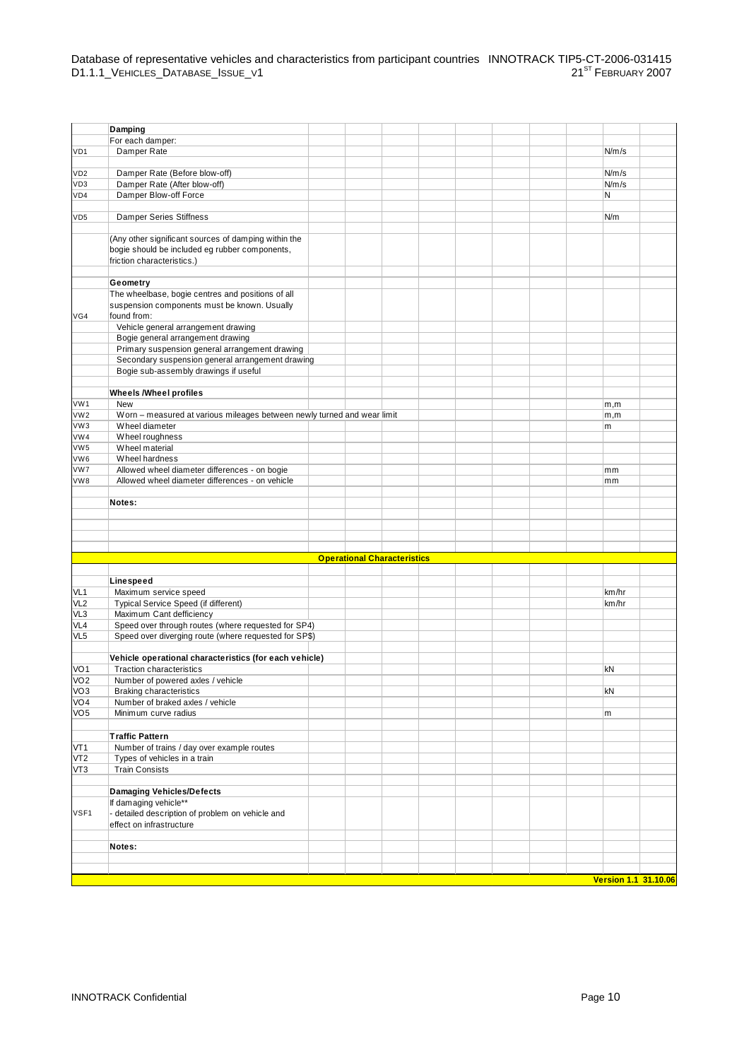|                 | Damping                                                                  |                                    |  |  |  |                      |  |
|-----------------|--------------------------------------------------------------------------|------------------------------------|--|--|--|----------------------|--|
|                 | For each damper:                                                         |                                    |  |  |  |                      |  |
| VD1             | Damper Rate                                                              |                                    |  |  |  | N/m/s                |  |
|                 |                                                                          |                                    |  |  |  |                      |  |
| VD <sub>2</sub> | Damper Rate (Before blow-off)                                            |                                    |  |  |  | N/m/s                |  |
| VD3             | Damper Rate (After blow-off)                                             |                                    |  |  |  | N/m/s                |  |
| VD4             | Damper Blow-off Force                                                    |                                    |  |  |  | N                    |  |
|                 |                                                                          |                                    |  |  |  |                      |  |
| VD <sub>5</sub> | <b>Damper Series Stiffness</b>                                           |                                    |  |  |  | N/m                  |  |
|                 |                                                                          |                                    |  |  |  |                      |  |
|                 | (Any other significant sources of damping within the                     |                                    |  |  |  |                      |  |
|                 | bogie should be included eg rubber components,                           |                                    |  |  |  |                      |  |
|                 | friction characteristics.)                                               |                                    |  |  |  |                      |  |
|                 |                                                                          |                                    |  |  |  |                      |  |
|                 | Geometry                                                                 |                                    |  |  |  |                      |  |
|                 | The wheelbase, bogie centres and positions of all                        |                                    |  |  |  |                      |  |
|                 | suspension components must be known. Usually                             |                                    |  |  |  |                      |  |
| VG4             | found from:                                                              |                                    |  |  |  |                      |  |
|                 | Vehicle general arrangement drawing<br>Bogie general arrangement drawing |                                    |  |  |  |                      |  |
|                 | Primary suspension general arrangement drawing                           |                                    |  |  |  |                      |  |
|                 | Secondary suspension general arrangement drawing                         |                                    |  |  |  |                      |  |
|                 | Bogie sub-assembly drawings if useful                                    |                                    |  |  |  |                      |  |
|                 |                                                                          |                                    |  |  |  |                      |  |
|                 | <b>Wheels / Wheel profiles</b>                                           |                                    |  |  |  |                      |  |
| VW1             | New                                                                      |                                    |  |  |  | m,m                  |  |
| VW <sub>2</sub> | Worn - measured at various mileages between newly turned and wear limit  |                                    |  |  |  | m,m                  |  |
| VW3             | Wheel diameter                                                           |                                    |  |  |  | m                    |  |
| VW4             | Wheel roughness                                                          |                                    |  |  |  |                      |  |
| VW <sub>5</sub> | Wheel material                                                           |                                    |  |  |  |                      |  |
| VW6             | Wheel hardness                                                           |                                    |  |  |  |                      |  |
| VW7             | Allowed wheel diameter differences - on bogie                            |                                    |  |  |  | mm                   |  |
| VW8             | Allowed wheel diameter differences - on vehicle                          |                                    |  |  |  | mm                   |  |
|                 |                                                                          |                                    |  |  |  |                      |  |
|                 | Notes:                                                                   |                                    |  |  |  |                      |  |
|                 |                                                                          |                                    |  |  |  |                      |  |
|                 |                                                                          |                                    |  |  |  |                      |  |
|                 |                                                                          |                                    |  |  |  |                      |  |
|                 |                                                                          |                                    |  |  |  |                      |  |
|                 |                                                                          | <b>Operational Characteristics</b> |  |  |  |                      |  |
|                 |                                                                          |                                    |  |  |  |                      |  |
|                 | Linespeed                                                                |                                    |  |  |  |                      |  |
| VL1             | Maximum service speed                                                    |                                    |  |  |  | km/hr                |  |
| VL <sub>2</sub> | Typical Service Speed (if different)                                     |                                    |  |  |  | km/hr                |  |
| VL3             | Maximum Cant defficiency                                                 |                                    |  |  |  |                      |  |
| VL4             | Speed over through routes (where requested for SP4)                      |                                    |  |  |  |                      |  |
| VL <sub>5</sub> | Speed over diverging route (where requested for SP\$)                    |                                    |  |  |  |                      |  |
|                 | Vehicle operational characteristics (for each vehicle)                   |                                    |  |  |  |                      |  |
| VO <sub>1</sub> | <b>Traction characteristics</b>                                          |                                    |  |  |  | kN                   |  |
| VO <sub>2</sub> | Number of powered axles / vehicle                                        |                                    |  |  |  |                      |  |
| VO <sub>3</sub> | <b>Braking characteristics</b>                                           |                                    |  |  |  | kN                   |  |
| VO4             | Number of braked axles / vehicle                                         |                                    |  |  |  |                      |  |
| VO <sub>5</sub> | Minimum curve radius                                                     |                                    |  |  |  | m                    |  |
|                 |                                                                          |                                    |  |  |  |                      |  |
|                 | <b>Traffic Pattern</b>                                                   |                                    |  |  |  |                      |  |
| VT <sub>1</sub> | Number of trains / day over example routes                               |                                    |  |  |  |                      |  |
| VT <sub>2</sub> | Types of vehicles in a train                                             |                                    |  |  |  |                      |  |
| VT3             | <b>Train Consists</b>                                                    |                                    |  |  |  |                      |  |
|                 |                                                                          |                                    |  |  |  |                      |  |
|                 | <b>Damaging Vehicles/Defects</b>                                         |                                    |  |  |  |                      |  |
|                 | If damaging vehicle**                                                    |                                    |  |  |  |                      |  |
| VSF1            | - detailed description of problem on vehicle and                         |                                    |  |  |  |                      |  |
|                 | effect on infrastructure                                                 |                                    |  |  |  |                      |  |
|                 |                                                                          |                                    |  |  |  |                      |  |
|                 | Notes:                                                                   |                                    |  |  |  |                      |  |
|                 |                                                                          |                                    |  |  |  |                      |  |
|                 |                                                                          |                                    |  |  |  |                      |  |
|                 |                                                                          |                                    |  |  |  | Version 1.1 31.10.06 |  |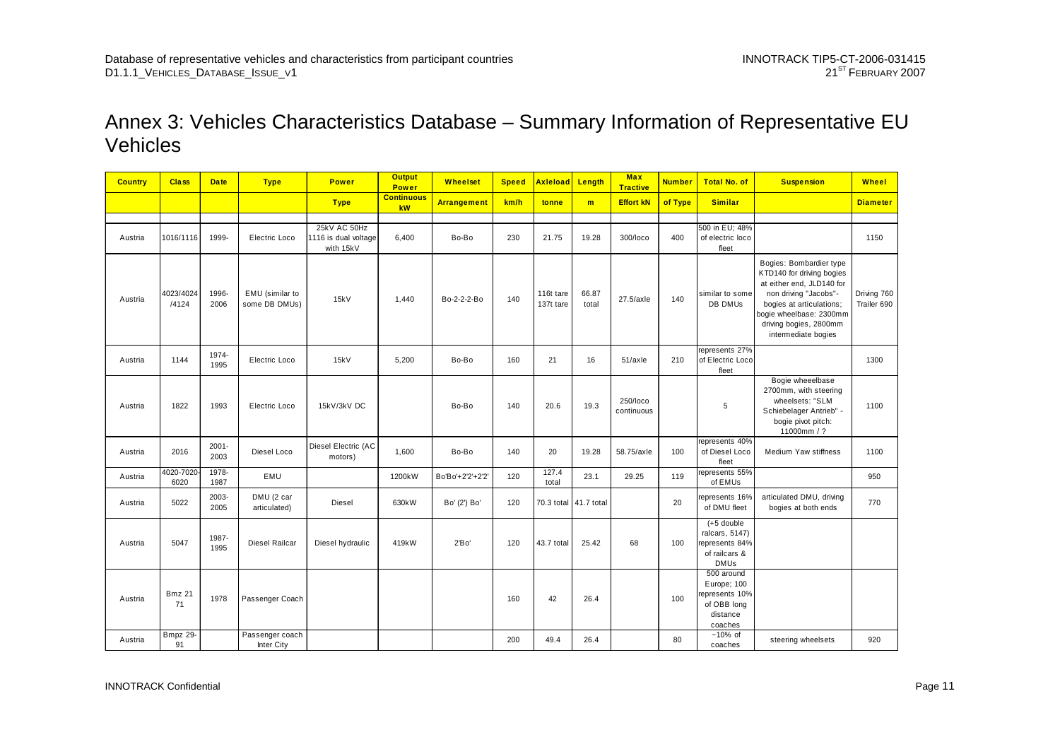### Annex 3: Vehicles Characteristics Database – Summary Information of Representative EU Vehicles

| <b>Country</b> | <b>Class</b>        | <b>Date</b>      | <b>Type</b>                      | <b>Power</b>                                      | <b>Output</b><br><b>Power</b> | Wheelset           | <b>Speed</b> | <b>Axleload</b>        | Length                | <b>Max</b><br><b>Tractive</b> | <b>Number</b> | <b>Total No. of</b>                                                              | <b>Suspension</b>                                                                                                                                                                                                  | <b>Wheel</b>               |
|----------------|---------------------|------------------|----------------------------------|---------------------------------------------------|-------------------------------|--------------------|--------------|------------------------|-----------------------|-------------------------------|---------------|----------------------------------------------------------------------------------|--------------------------------------------------------------------------------------------------------------------------------------------------------------------------------------------------------------------|----------------------------|
|                |                     |                  |                                  | <b>Type</b>                                       | <b>Continuous</b><br>kW       | <b>Arrangement</b> | km/h         | tonne                  | m                     | <b>Effort kN</b>              | of Type       | <b>Similar</b>                                                                   |                                                                                                                                                                                                                    | <b>Diameter</b>            |
|                |                     |                  |                                  |                                                   |                               |                    |              |                        |                       |                               |               |                                                                                  |                                                                                                                                                                                                                    |                            |
| Austria        | 1016/1116           | 1999-            | Electric Loco                    | 25kV AC 50Hz<br>1116 is dual voltage<br>with 15kV | 6,400                         | Bo-Bo              | 230          | 21.75                  | 19.28                 | 300/loco                      | 400           | 500 in EU; 48%<br>of electric loco<br>fleet                                      |                                                                                                                                                                                                                    | 1150                       |
| Austria        | 4023/4024<br>/4124  | 1996-<br>2006    | EMU (similar to<br>some DB DMUs) | 15kV                                              | 1,440                         | Bo-2-2-2-Bo        | 140          | 116t tare<br>137t tare | 66.87<br>total        | 27.5/axle                     | 140           | similar to some<br>DB DMUs                                                       | Bogies: Bombardier type<br>KTD140 for driving bogies<br>at either end, JLD140 for<br>non driving "Jacobs"-<br>bogies at articulations;<br>bogie wheelbase: 2300mm<br>driving bogies, 2800mm<br>intermediate bogies | Driving 760<br>Trailer 690 |
| Austria        | 1144                | 1974-<br>1995    | Electric Loco                    | 15kV                                              | 5,200                         | Bo-Bo              | 160          | 21                     | 16                    | 51/axle                       | 210           | represents 27%<br>of Electric Loco<br>fleet                                      |                                                                                                                                                                                                                    | 1300                       |
| Austria        | 1822                | 1993             | Electric Loco                    | 15kV/3kV DC                                       |                               | Bo-Bo              | 140          | 20.6                   | 19.3                  | 250/loco<br>continuous        |               | 5                                                                                | Bogie wheeelbase<br>2700mm, with steering<br>wheelsets: "SLM<br>Schiebelager Antrieb" -<br>bogie pivot pitch:<br>11000mm / ?                                                                                       | 1100                       |
| Austria        | 2016                | $2001 -$<br>2003 | Diesel Loco                      | Diesel Electric (AC<br>motors)                    | 1,600                         | Bo-Bo              | 140          | 20                     | 19.28                 | 58.75/axle                    | 100           | epresents 40%<br>of Diesel Loco<br>fleet                                         | Medium Yaw stiffness                                                                                                                                                                                               | 1100                       |
| Austria        | 4020-7020<br>6020   | 1978-<br>1987    | EMU                              |                                                   | 1200kW                        | Bo'Bo'+2'2'+2'2'   | 120          | 127.4<br>total         | 23.1                  | 29.25                         | 119           | represents 55%<br>of EMUs                                                        |                                                                                                                                                                                                                    | 950                        |
| Austria        | 5022                | 2003-<br>2005    | DMU (2 car<br>articulated)       | Diesel                                            | 630kW                         | Bo' (2') Bo'       | 120          |                        | 70.3 total 41.7 total |                               | 20            | represents 16%<br>of DMU fleet                                                   | articulated DMU, driving<br>bogies at both ends                                                                                                                                                                    | 770                        |
| Austria        | 5047                | 1987-<br>1995    | Diesel Railcar                   | Diesel hydraulic                                  | 419kW                         | 2'Bo'              | 120          | 43.7 total             | 25.42                 | 68                            | 100           | $(+5$ double<br>ralcars, 5147)<br>represents 84%<br>of railcars &<br><b>DMUs</b> |                                                                                                                                                                                                                    |                            |
| Austria        | <b>Bmz 21</b><br>71 | 1978             | Passenger Coach                  |                                                   |                               |                    | 160          | 42                     | 26.4                  |                               | 100           | 500 around<br>Europe; 100<br>epresents 10%<br>of OBB long<br>distance<br>coaches |                                                                                                                                                                                                                    |                            |
| Austria        | Bmpz 29-<br>91      |                  | Passenger coach<br>Inter City    |                                                   |                               |                    | 200          | 49.4                   | 26.4                  |                               | 80            | $~10\%$ of<br>coaches                                                            | steering wheelsets                                                                                                                                                                                                 | 920                        |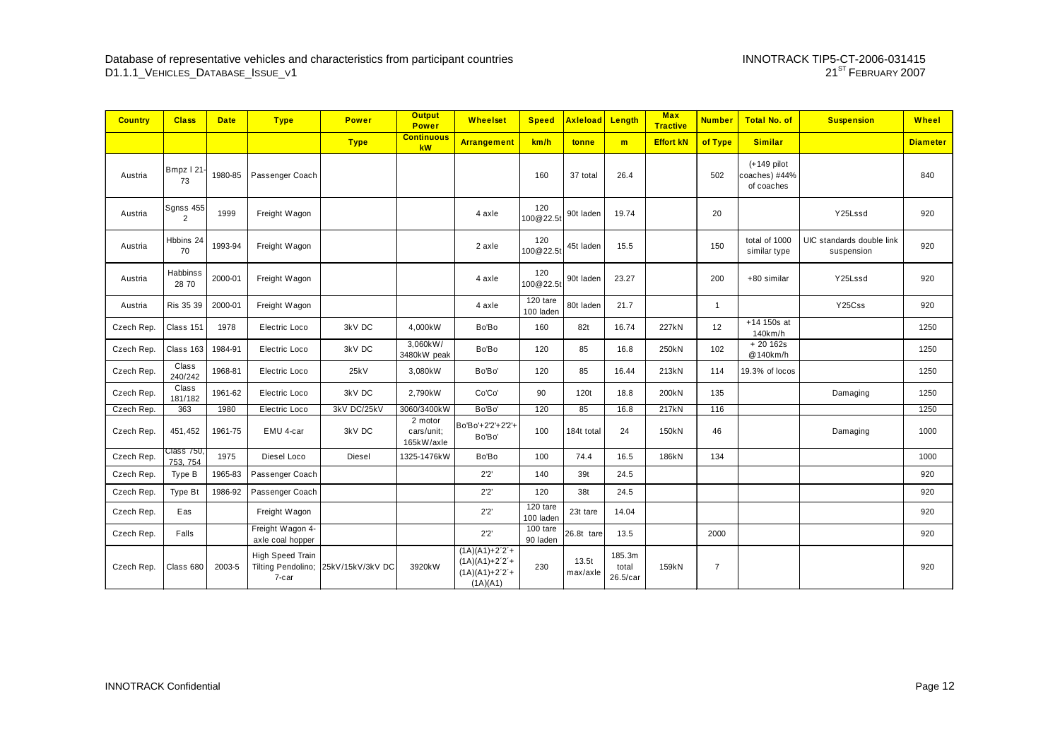| <b>Country</b> | <b>Class</b>           | <b>Date</b> | <b>Type</b>                                            | <b>Power</b>     | <b>Output</b><br><b>Power</b>       | <b>Wheelset</b>                                                   | <b>Speed</b>          | <b>Axleload</b>   | Length                      | <b>Max</b><br><b>Tractive</b> | <b>Number</b>  | <b>Total No. of</b>                          | <b>Suspension</b>                       | Wheel           |
|----------------|------------------------|-------------|--------------------------------------------------------|------------------|-------------------------------------|-------------------------------------------------------------------|-----------------------|-------------------|-----------------------------|-------------------------------|----------------|----------------------------------------------|-----------------------------------------|-----------------|
|                |                        |             |                                                        | <b>Type</b>      | <b>Continuous</b><br>kW             | <b>Arrangement</b>                                                | km/h                  | tonne             | m                           | <b>Effort kN</b>              | of Type        | <b>Similar</b>                               |                                         | <b>Diameter</b> |
| Austria        | Bmpz   21-<br>73       | 1980-85     | Passenger Coach                                        |                  |                                     |                                                                   | 160                   | 37 total          | 26.4                        |                               | 502            | $(+149$ pilot<br>coaches) #44%<br>of coaches |                                         | 840             |
| Austria        | Sgnss 455<br>2         | 1999        | Freight Wagon                                          |                  |                                     | 4 axle                                                            | 120<br>100@22.5       | 90t laden         | 19.74                       |                               | 20             |                                              | Y25Lssd                                 | 920             |
| Austria        | Hbbins 24<br>70        | 1993-94     | Freight Wagon                                          |                  |                                     | 2 axle                                                            | 120<br>100@22.5t      | 45t laden         | 15.5                        |                               | 150            | total of 1000<br>similar type                | UIC standards double link<br>suspension | 920             |
| Austria        | Habbinss<br>28 70      | 2000-01     | Freight Wagon                                          |                  |                                     | 4 axle                                                            | 120<br>100@22.5t      | 90t laden         | 23.27                       |                               | 200            | +80 similar                                  | Y25Lssd                                 | 920             |
| Austria        | Ris 35 39              | 2000-01     | Freight Wagon                                          |                  |                                     | 4 axle                                                            | 120 tare<br>100 laden | 80t laden         | 21.7                        |                               | $\overline{1}$ |                                              | Y25Css                                  | 920             |
| Czech Rep.     | Class 151              | 1978        | Electric Loco                                          | 3kV DC           | 4.000kW                             | Bo'Bo                                                             | 160                   | 82t               | 16.74                       | 227kN                         | 12             | $+14$ 150s at<br>140km/h                     |                                         | 1250            |
| Czech Rep.     | Class 163              | 1984-91     | Electric Loco                                          | 3kV DC           | 3,060kW/<br>3480kW peak             | Bo'Bo                                                             | 120                   | 85                | 16.8                        | 250kN                         | 102            | $+20162s$<br>@140km/h                        |                                         | 1250            |
| Czech Rep.     | Class<br>240/242       | 1968-81     | Electric Loco                                          | 25kV             | 3,080kW                             | Bo'Bo'                                                            | 120                   | 85                | 16.44                       | 213kN                         | 114            | 19.3% of locos                               |                                         | 1250            |
| Czech Rep.     | Class<br>181/182       | 1961-62     | Electric Loco                                          | 3kV DC           | 2.790kW                             | Co'Co'                                                            | 90                    | 120t              | 18.8                        | 200kN                         | 135            |                                              | Damaging                                | 1250            |
| Czech Rep.     | 363                    | 1980        | Electric Loco                                          | 3kV DC/25kV      | 3060/3400kW                         | Bo'Bo'                                                            | 120                   | 85                | 16.8                        | 217kN                         | 116            |                                              |                                         | 1250            |
| Czech Rep.     | 451,452                | 1961-75     | EMU 4-car                                              | 3kV DC           | 2 motor<br>cars/unit;<br>165kW/axle | Bo'Bo'+2'2'+2'2'+<br>Bo'Bo'                                       | 100                   | 184t total        | 24                          | 150kN                         | 46             |                                              | Damaging                                | 1000            |
| Czech Rep.     | Class 750.<br>753, 754 | 1975        | Diesel Loco                                            | Diesel           | 1325-1476kW                         | Bo'Bo                                                             | 100                   | 74.4              | 16.5                        | 186kN                         | 134            |                                              |                                         | 1000            |
| Czech Rep.     | Type B                 | 1965-83     | Passenger Coach                                        |                  |                                     | 2'2'                                                              | 140                   | 39t               | 24.5                        |                               |                |                                              |                                         | 920             |
| Czech Rep.     | <b>Type Bt</b>         | 1986-92     | Passenger Coach                                        |                  |                                     | 2'2'                                                              | 120                   | 38t               | 24.5                        |                               |                |                                              |                                         | 920             |
| Czech Rep.     | Eas                    |             | Freight Wagon                                          |                  |                                     | 2'2'                                                              | 120 tare<br>100 laden | 23t tare          | 14.04                       |                               |                |                                              |                                         | 920             |
| Czech Rep.     | Falls                  |             | Freight Wagon 4-<br>axle coal hopper                   |                  |                                     | 2'2'                                                              | 100 tare<br>90 laden  | 26.8t tare        | 13.5                        |                               | 2000           |                                              |                                         | 920             |
| Czech Rep.     | Class 680              | 2003-5      | <b>High Speed Train</b><br>Tilting Pendolino;<br>7-car | 25kV/15kV/3kV DC | 3920kW                              | $(1A)(A1)+2^2+$<br>$(1A)(A1)+2^2+$<br>$(1A)(A1)+2^2+$<br>(AA)(A1) | 230                   | 13.5t<br>max/axle | 185.3m<br>total<br>26.5/car | 159kN                         | $\overline{7}$ |                                              |                                         | 920             |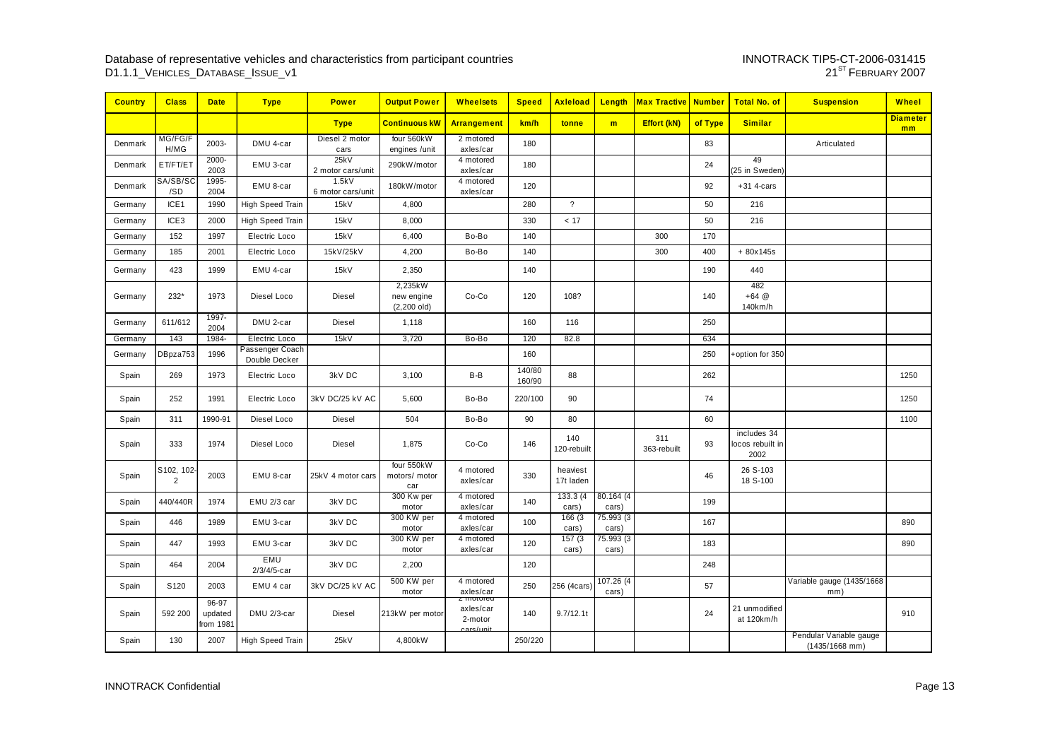| <b>Country</b> | <b>Class</b>                 | <b>Date</b>                     | <b>Type</b>                      | <b>Power</b>               | <b>Output Power</b>                     | <b>Wheelsets</b>                               | <b>Speed</b>     | <b>Axleload</b>       | Length              | <b>Max Tractive Number</b> |         | <b>Total No. of</b>                     | <b>Suspension</b>                           | Wheel                 |
|----------------|------------------------------|---------------------------------|----------------------------------|----------------------------|-----------------------------------------|------------------------------------------------|------------------|-----------------------|---------------------|----------------------------|---------|-----------------------------------------|---------------------------------------------|-----------------------|
|                |                              |                                 |                                  | <b>Type</b>                | <b>Continuous kW</b>                    | Arrangement                                    | km/h             | tonne                 | m                   | <b>Effort (kN)</b>         | of Type | <b>Similar</b>                          |                                             | <b>Diameter</b><br>mm |
| Denmark        | MG/FG/F<br>H/MG              | 2003-                           | DMU 4-car                        | Diesel 2 motor<br>cars     | four 560kW<br>engines /unit             | 2 motored<br>axles/car                         | 180              |                       |                     |                            | 83      |                                         | Articulated                                 |                       |
| Denmark        | ET/FT/ET                     | 2000-<br>2003                   | EMU 3-car                        | 25kV<br>2 motor cars/unit  | 290kW/motor                             | 4 motored<br>axles/car                         | 180              |                       |                     |                            | 24      | 49<br>(25 in Sweden)                    |                                             |                       |
| Denmark        | SA/SB/SO<br>/SD              | 1995-<br>2004                   | EMU 8-car                        | 1.5kV<br>6 motor cars/unit | 180kW/motor                             | 4 motored<br>axles/car                         | 120              |                       |                     |                            | 92      | $+31$ 4-cars                            |                                             |                       |
| Germany        | ICE <sub>1</sub>             | 1990                            | High Speed Train                 | 15kV                       | 4,800                                   |                                                | 280              | $\overline{?}$        |                     |                            | 50      | 216                                     |                                             |                       |
| Germany        | ICE <sub>3</sub>             | 2000                            | High Speed Train                 | 15kV                       | 8,000                                   |                                                | 330              | < 17                  |                     |                            | 50      | 216                                     |                                             |                       |
| Germany        | 152                          | 1997                            | Electric Loco                    | 15kV                       | 6,400                                   | Bo-Bo                                          | 140              |                       |                     | 300                        | 170     |                                         |                                             |                       |
| Germany        | 185                          | 2001                            | Electric Loco                    | 15kV/25kV                  | 4,200                                   | Bo-Bo                                          | 140              |                       |                     | 300                        | 400     | $+80x145s$                              |                                             |                       |
| Germany        | 423                          | 1999                            | EMU 4-car                        | 15kV                       | 2,350                                   |                                                | 140              |                       |                     |                            | 190     | 440                                     |                                             |                       |
| Germany        | 232*                         | 1973                            | Diesel Loco                      | Diesel                     | 2,235kW<br>new engine<br>$(2, 200$ old) | Co-Co                                          | 120              | 108?                  |                     |                            | 140     | 482<br>$+64@$<br>140km/h                |                                             |                       |
| Germany        | 611/612                      | 1997-<br>2004                   | DMU 2-car                        | Diesel                     | 1,118                                   |                                                | 160              | 116                   |                     |                            | 250     |                                         |                                             |                       |
| Germany        | 143                          | 1984-                           | Electric Loco                    | 15kV                       | 3,720                                   | Bo-Bo                                          | 120              | 82.8                  |                     |                            | 634     |                                         |                                             |                       |
| Germany        | DBpza753                     | 1996                            | Passenger Coach<br>Double Decker |                            |                                         |                                                | 160              |                       |                     |                            | 250     | +option for 350                         |                                             |                       |
| Spain          | 269                          | 1973                            | Electric Loco                    | 3kV DC                     | 3,100                                   | $B-B$                                          | 140/80<br>160/90 | 88                    |                     |                            | 262     |                                         |                                             | 1250                  |
| Spain          | 252                          | 1991                            | Electric Loco                    | 3kV DC/25 kV AC            | 5,600                                   | Bo-Bo                                          | 220/100          | 90                    |                     |                            | 74      |                                         |                                             | 1250                  |
| Spain          | 311                          | 1990-91                         | Diesel Loco                      | Diesel                     | 504                                     | Bo-Bo                                          | 90               | 80                    |                     |                            | 60      |                                         |                                             | 1100                  |
| Spain          | 333                          | 1974                            | Diesel Loco                      | Diesel                     | 1,875                                   | Co-Co                                          | 146              | 140<br>120-rebuilt    |                     | 311<br>363-rebuilt         | 93      | includes 34<br>locos rebuilt in<br>2002 |                                             |                       |
| Spain          | S102, 102-<br>$\overline{2}$ | 2003                            | EMU 8-car                        | 25kV 4 motor cars          | four 550kW<br>motors/ motor<br>car      | 4 motored<br>axles/car                         | 330              | heaviest<br>17t laden |                     |                            | 46      | 26 S-103<br>18 S-100                    |                                             |                       |
| Spain          | 440/440R                     | 1974                            | EMU 2/3 car                      | 3kV DC                     | 300 Kw per<br>motor                     | 4 motored<br>axles/car                         | 140              | 133.3 (4)<br>cars)    | 80.164 (4)<br>cars) |                            | 199     |                                         |                                             |                       |
| Spain          | 446                          | 1989                            | EMU 3-car                        | 3kV DC                     | 300 KW per<br>motor                     | 4 motored<br>axles/car                         | 100              | 166(3)<br>cars)       | 75.993 (3)<br>cars) |                            | 167     |                                         |                                             | 890                   |
| Spain          | 447                          | 1993                            | EMU 3-car                        | 3kV DC                     | 300 KW per<br>motor                     | 4 motored<br>axles/car                         | 120              | 157(3)<br>cars)       | 75.993 (3)<br>cars) |                            | 183     |                                         |                                             | 890                   |
| Spain          | 464                          | 2004                            | <b>EMU</b><br>2/3/4/5-car        | 3kV DC                     | 2,200                                   |                                                | 120              |                       |                     |                            | 248     |                                         |                                             |                       |
| Spain          | S <sub>120</sub>             | 2003                            | EMU 4 car                        | 3kV DC/25 kV AC            | 500 KW per<br>motor                     | 4 motored<br>axles/car<br><del>z motoreu</del> | 250              | 256 (4cars)           | 107.26 (4)<br>cars) |                            | 57      |                                         | Variable gauge (1435/1668<br>mm)            |                       |
| Spain          | 592 200                      | $96-97$<br>updated<br>from 1981 | DMU 2/3-car                      | Diesel                     | 213kW per motor                         | axles/car<br>2-motor<br>care/unit              | 140              | 9.7/12.1t             |                     |                            | 24      | 21 unmodified<br>at 120km/h             |                                             | 910                   |
| Spain          | 130                          | 2007                            | High Speed Train                 | 25kV                       | 4,800kW                                 |                                                | 250/220          |                       |                     |                            |         |                                         | Pendular Variable gauge<br>$(1435/1668$ mm) |                       |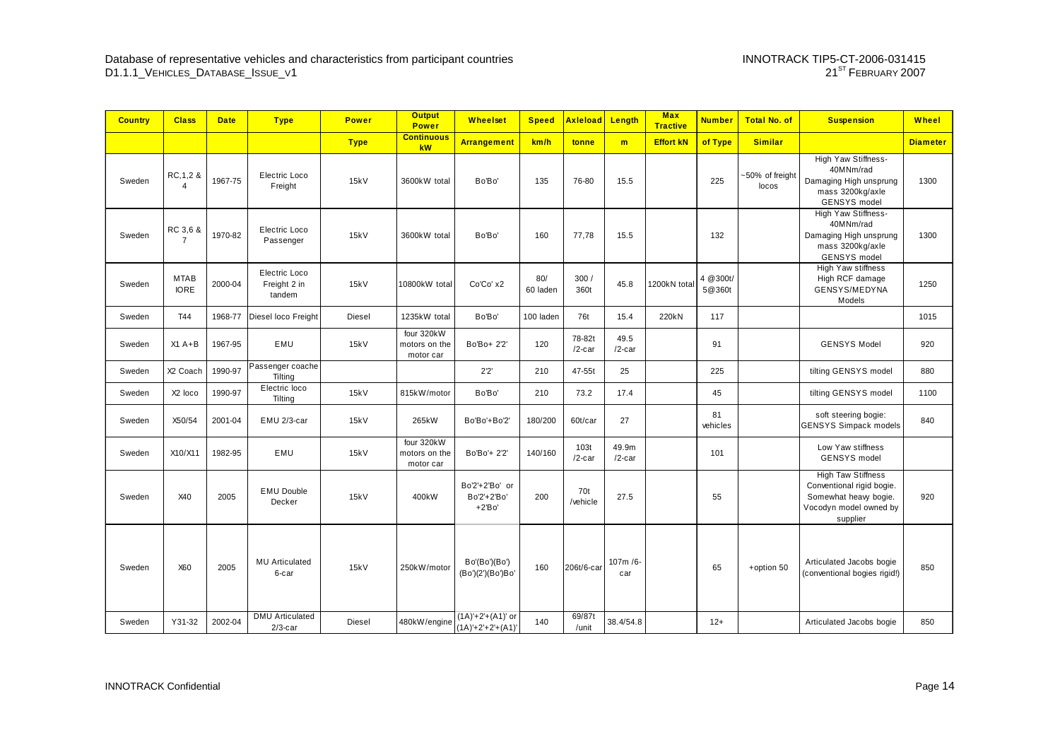| <b>Country</b> | <b>Class</b>                 | <b>Date</b> | <b>Type</b>                             | <b>Power</b>  | <b>Output</b><br><b>Power</b>            | <b>Wheelset</b>                            | <b>Speed</b>    | <b>Axleload</b>     | Length             | <b>Max</b><br><b>Tractive</b> | <b>Number</b>       | <b>Total No. of</b>      | <b>Suspension</b>                                                                                                     | Wheel           |
|----------------|------------------------------|-------------|-----------------------------------------|---------------|------------------------------------------|--------------------------------------------|-----------------|---------------------|--------------------|-------------------------------|---------------------|--------------------------|-----------------------------------------------------------------------------------------------------------------------|-----------------|
|                |                              |             |                                         | <b>Type</b>   | <b>Continuous</b><br>kW                  | <b>Arrangement</b>                         | km/h            | tonne               | m                  | <b>Effort kN</b>              | of Type             | <b>Similar</b>           |                                                                                                                       | <b>Diameter</b> |
| Sweden         | RC, 1, 2 &<br>$\overline{4}$ | 1967-75     | Electric Loco<br>Freight                | 15kV          | 3600kW total                             | Bo'Bo'                                     | 135             | 76-80               | 15.5               |                               | 225                 | ~50% of freight<br>locos | High Yaw Stiffness-<br>40MNm/rad<br>Damaging High unsprung<br>mass 3200kg/axle<br><b>GENSYS</b> model                 | 1300            |
| Sweden         | RC 3,6 &<br>$\overline{7}$   | 1970-82     | Electric Loco<br>Passenger              | 15kV          | 3600kW total                             | Bo'Bo'                                     | 160             | 77,78               | 15.5               |                               | 132                 |                          | High Yaw Stiffness-<br>40MNm/rad<br>Damaging High unsprung<br>mass 3200kg/axle<br><b>GENSYS</b> model                 | 1300            |
| Sweden         | <b>MTAB</b><br><b>IORE</b>   | 2000-04     | Electric Loco<br>Freight 2 in<br>tandem | 15kV          | 10800kW total                            | Co'Co' x2                                  | 80/<br>60 laden | 300/<br>360t        | 45.8               | 1200kN total                  | 4 @ 300t/<br>5@360t |                          | High Yaw stiffness<br>High RCF damage<br>GENSYS/MEDYNA<br>Models                                                      | 1250            |
| Sweden         | T44                          | 1968-77     | Diesel loco Freight                     | <b>Diesel</b> | 1235kW total                             | Bo'Bo'                                     | 100 laden       | 76t                 | 15.4               | 220kN                         | 117                 |                          |                                                                                                                       | 1015            |
| Sweden         | $X1A+B$                      | 1967-95     | EMU                                     | 15kV          | four 320kW<br>motors on the<br>motor car | Bo'Bo+ 2'2'                                | 120             | 78-82t<br>$/2$ -car | 49.5<br>$/2$ -car  |                               | 91                  |                          | <b>GENSYS Model</b>                                                                                                   | 920             |
| Sweden         | X2 Coach                     | 1990-97     | Passenger coache<br>Tilting             |               |                                          | 2'2'                                       | 210             | 47-55t              | 25                 |                               | 225                 |                          | tilting GENSYS model                                                                                                  | 880             |
| Sweden         | X2 loco                      | 1990-97     | Electric loco<br>Tilting                | 15kV          | 815kW/motor                              | Bo'Bo'                                     | 210             | 73.2                | 17.4               |                               | 45                  |                          | tilting GENSYS model                                                                                                  | 1100            |
| Sweden         | X50/54                       | 2001-04     | EMU 2/3-car                             | 15kV          | 265kW                                    | Bo'Bo'+Bo'2'                               | 180/200         | 60t/car             | 27                 |                               | 81<br>vehicles      |                          | soft steering bogie:<br><b>GENSYS Simpack models</b>                                                                  | 840             |
| Sweden         | X10/X11                      | 1982-95     | EMU                                     | 15kV          | four 320kW<br>motors on the<br>motor car | Bo'Bo'+ 2'2'                               | 140/160         | 103t<br>$/2$ -car   | 49.9m<br>$/2$ -car |                               | 101                 |                          | Low Yaw stiffness<br><b>GENSYS</b> model                                                                              |                 |
| Sweden         | X40                          | 2005        | <b>EMU Double</b><br>Decker             | 15kV          | 400kW                                    | Bo'2'+2'Bo' or<br>Bo'2'+2'Bo'<br>$+2'Bo'$  | 200             | 70t<br>/vehicle     | 27.5               |                               | 55                  |                          | <b>High Taw Stiffness</b><br>Conventional rigid bogie.<br>Somewhat heavy bogie.<br>Vocodyn model owned by<br>supplier | 920             |
| Sweden         | X60                          | 2005        | <b>MU Articulated</b><br>6-car          | 15kV          | 250kW/motor                              | Bo'(Bo')(Bo')<br>(Bo')(2')(Bo')Bo'         | 160             | 206t/6-car          | 107m /6-<br>car    |                               | 65                  | +option 50               | Articulated Jacobs bogie<br>(conventional bogies rigid!)                                                              | 850             |
| Sweden         | Y31-32                       | 2002-04     | <b>DMU</b> Articulated<br>$2/3$ -car    | Diesel        | 480kW/engine                             | $(1A)'+2'+(A1)'$ or<br>$(1A)'+2'+2'+(A1)'$ | 140             | 69/87t<br>/unit     | 38.4/54.8          |                               | $12+$               |                          | Articulated Jacobs bogie                                                                                              | 850             |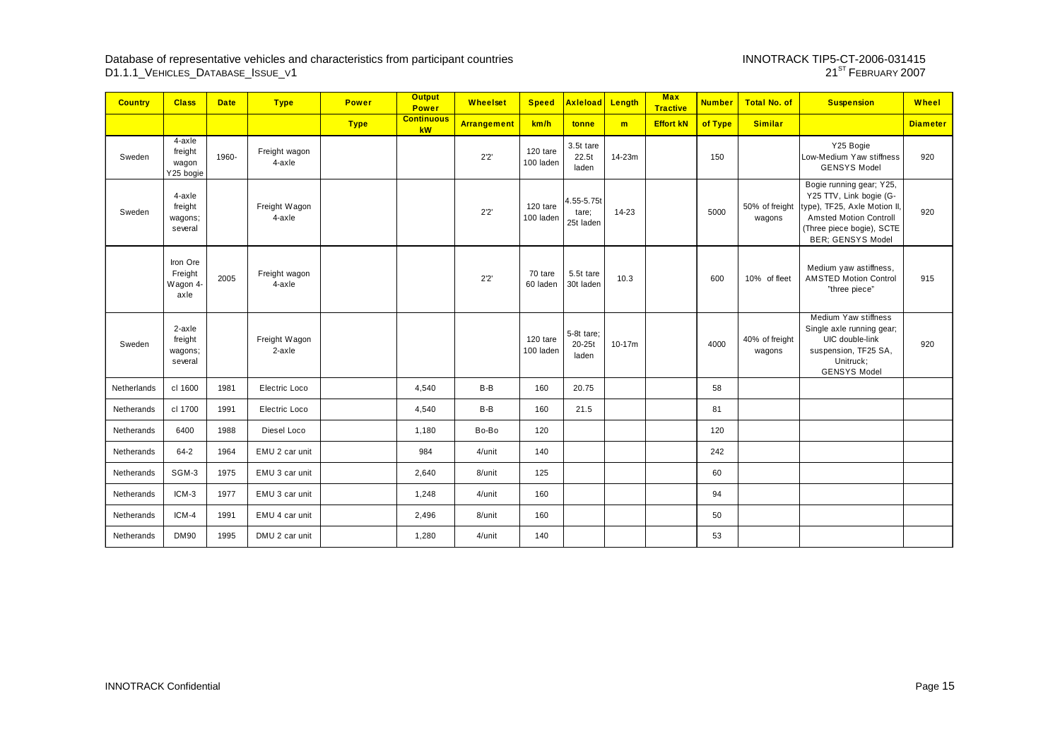# INNOTRACK TIP5-CT-2006-031415<br>21<sup>ST</sup> February 2007

| <b>Country</b> | <b>Class</b>                            | <b>Date</b> | <b>Type</b>             | <b>Power</b> | <b>Output</b><br><b>Power</b> | <b>Wheelset</b>    | <b>Speed</b>          | Axleload Length                  |          | <b>Max</b><br><b>Tractive</b> | <b>Number</b> | <b>Total No. of</b>      | <b>Suspension</b>                                                                                                                                                            | Wheel           |
|----------------|-----------------------------------------|-------------|-------------------------|--------------|-------------------------------|--------------------|-----------------------|----------------------------------|----------|-------------------------------|---------------|--------------------------|------------------------------------------------------------------------------------------------------------------------------------------------------------------------------|-----------------|
|                |                                         |             |                         | <b>Type</b>  | <b>Continuous</b><br>kW       | <b>Arrangement</b> | km/h                  | tonne                            | m        | <b>Effort kN</b>              | of Type       | <b>Similar</b>           |                                                                                                                                                                              | <b>Diameter</b> |
| Sweden         | 4-axle<br>freight<br>wagon<br>Y25 bogie | 1960-       | Freight wagon<br>4-axle |              |                               | 2'2'               | 120 tare<br>100 laden | 3.5t tare<br>22.5t<br>laden      | 14-23m   |                               | 150           |                          | Y25 Bogie<br>Low-Medium Yaw stiffness<br><b>GENSYS Model</b>                                                                                                                 | 920             |
| Sweden         | 4-axle<br>freight<br>wagons;<br>several |             | Freight Wagon<br>4-axle |              |                               | 2'2'               | 120 tare<br>100 laden | 4.55-5.75t<br>tare;<br>25t laden | 14-23    |                               | 5000          | 50% of freight<br>wagons | Bogie running gear; Y25,<br>Y25 TTV, Link bogie (G-<br>type), TF25, Axle Motion II<br><b>Amsted Motion Controll</b><br>(Three piece bogie), SCTE<br><b>BER; GENSYS Model</b> | 920             |
|                | Iron Ore<br>Freight<br>Wagon 4-<br>axle | 2005        | Freight wagon<br>4-axle |              |                               | 2'2'               | 70 tare<br>60 laden   | 5.5t tare<br>30t laden           | 10.3     |                               | 600           | 10% of fleet             | Medium yaw astiffness,<br><b>AMSTED Motion Control</b><br>"three piece"                                                                                                      | 915             |
| Sweden         | 2-axle<br>freight<br>wagons;<br>several |             | Freight Wagon<br>2-axle |              |                               |                    | 120 tare<br>100 laden | 5-8t tare;<br>20-25t<br>laden    | $10-17m$ |                               | 4000          | 40% of freight<br>wagons | Medium Yaw stiffness<br>Single axle running gear;<br>UIC double-link<br>suspension, TF25 SA,<br>Unitruck;<br><b>GENSYS Model</b>                                             | 920             |
| Netherlands    | cl 1600                                 | 1981        | Electric Loco           |              | 4,540                         | B-B                | 160                   | 20.75                            |          |                               | 58            |                          |                                                                                                                                                                              |                 |
| Netherands     | cl 1700                                 | 1991        | Electric Loco           |              | 4,540                         | B-B                | 160                   | 21.5                             |          |                               | 81            |                          |                                                                                                                                                                              |                 |
| Netherands     | 6400                                    | 1988        | Diesel Loco             |              | 1,180                         | Bo-Bo              | 120                   |                                  |          |                               | 120           |                          |                                                                                                                                                                              |                 |
| Netherands     | $64 - 2$                                | 1964        | EMU 2 car unit          |              | 984                           | 4/unit             | 140                   |                                  |          |                               | 242           |                          |                                                                                                                                                                              |                 |
| Netherands     | SGM-3                                   | 1975        | EMU 3 car unit          |              | 2,640                         | 8/unit             | 125                   |                                  |          |                               | 60            |                          |                                                                                                                                                                              |                 |
| Netherands     | ICM-3                                   | 1977        | EMU 3 car unit          |              | 1,248                         | 4/unit             | 160                   |                                  |          |                               | 94            |                          |                                                                                                                                                                              |                 |
| Netherands     | ICM-4                                   | 1991        | EMU 4 car unit          |              | 2,496                         | 8/unit             | 160                   |                                  |          |                               | 50            |                          |                                                                                                                                                                              |                 |
| Netherands     | <b>DM90</b>                             | 1995        | DMU 2 car unit          |              | 1,280                         | 4/unit             | 140                   |                                  |          |                               | 53            |                          |                                                                                                                                                                              |                 |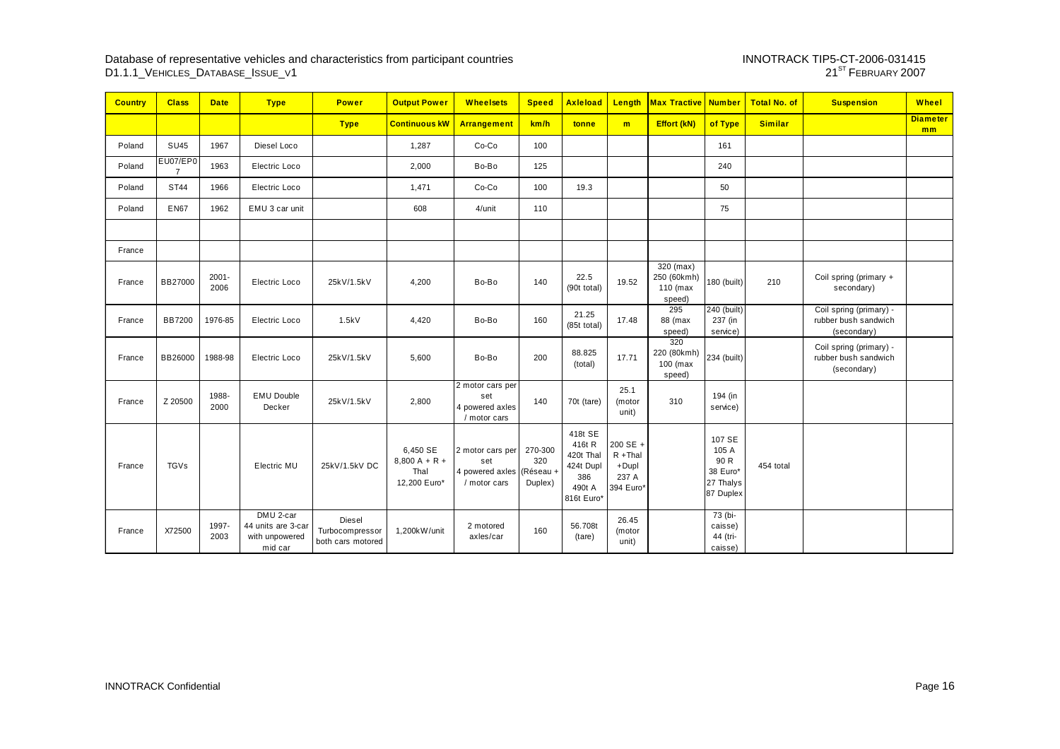| <b>Country</b> | <b>Class</b>  | <b>Date</b>      | <b>Type</b>                                                  | <b>Power</b>                                   | <b>Output Power</b>                                 | <b>Wheelsets</b>                                                     | <b>Speed</b>              | <b>Axleload</b>                                                            | Length                                                | <b>Max Tractive Number</b>                       |                                                               | <b>Total No. of</b> | <b>Suspension</b>                                              | <b>Wheel</b>          |
|----------------|---------------|------------------|--------------------------------------------------------------|------------------------------------------------|-----------------------------------------------------|----------------------------------------------------------------------|---------------------------|----------------------------------------------------------------------------|-------------------------------------------------------|--------------------------------------------------|---------------------------------------------------------------|---------------------|----------------------------------------------------------------|-----------------------|
|                |               |                  |                                                              | <b>Type</b>                                    | <b>Continuous kW</b>                                | Arrangement                                                          | km/h                      | tonne                                                                      | m                                                     | Effort (kN)                                      | of Type                                                       | <b>Similar</b>      |                                                                | <b>Diameter</b><br>mm |
| Poland         | <b>SU45</b>   | 1967             | Diesel Loco                                                  |                                                | 1,287                                               | Co-Co                                                                | 100                       |                                                                            |                                                       |                                                  | 161                                                           |                     |                                                                |                       |
| Poland         | EU07/EP0      | 1963             | Electric Loco                                                |                                                | 2,000                                               | Bo-Bo                                                                | 125                       |                                                                            |                                                       |                                                  | 240                                                           |                     |                                                                |                       |
| Poland         | <b>ST44</b>   | 1966             | Electric Loco                                                |                                                | 1,471                                               | Co-Co                                                                | 100                       | 19.3                                                                       |                                                       |                                                  | 50                                                            |                     |                                                                |                       |
| Poland         | <b>EN67</b>   | 1962             | EMU 3 car unit                                               |                                                | 608                                                 | 4/unit                                                               | 110                       |                                                                            |                                                       |                                                  | 75                                                            |                     |                                                                |                       |
|                |               |                  |                                                              |                                                |                                                     |                                                                      |                           |                                                                            |                                                       |                                                  |                                                               |                     |                                                                |                       |
| France         |               |                  |                                                              |                                                |                                                     |                                                                      |                           |                                                                            |                                                       |                                                  |                                                               |                     |                                                                |                       |
| France         | BB27000       | $2001 -$<br>2006 | Electric Loco                                                | 25kV/1.5kV                                     | 4,200                                               | Bo-Bo                                                                | 140                       | 22.5<br>(90t total)                                                        | 19.52                                                 | $320$ (max)<br>250 (60kmh)<br>110 (max<br>speed) | 180 (built)                                                   | 210                 | Coil spring (primary +<br>secondary)                           |                       |
| France         | <b>BB7200</b> | 1976-85          | Electric Loco                                                | 1.5kV                                          | 4,420                                               | Bo-Bo                                                                | 160                       | 21.25<br>(85t total)                                                       | 17.48                                                 | 295<br>88 (max<br>speed)                         | $\overline{240}$ (built)<br>237 (in<br>service)               |                     | Coil spring (primary) -<br>rubber bush sandwich<br>(secondary) |                       |
| France         | BB26000       | 1988-98          | Electric Loco                                                | 25kV/1.5kV                                     | 5,600                                               | Bo-Bo                                                                | 200                       | 88.825<br>(total)                                                          | 17.71                                                 | 320<br>220 (80kmh)<br>100 (max<br>speed)         | 234 (built)                                                   |                     | Coil spring (primary) -<br>rubber bush sandwich<br>(secondary) |                       |
| France         | Z 20500       | 1988-<br>2000    | <b>EMU Double</b><br>Decker                                  | 25kV/1.5kV                                     | 2,800                                               | 2 motor cars per<br>set<br>4 powered axles<br>/ motor cars           | 140                       | 70t (tare)                                                                 | 25.1<br>(motor<br>unit)                               | 310                                              | 194 (in<br>service)                                           |                     |                                                                |                       |
| France         | <b>TGVs</b>   |                  | Electric MU                                                  | 25kV/1.5kV DC                                  | 6,450 SE<br>$8,800 A + R +$<br>Thal<br>12,200 Euro* | 2 motor cars per<br>set<br>4 powered axles (Réseau +<br>/ motor cars | 270-300<br>320<br>Duplex) | 418t SE<br>416t R<br>420t Thal<br>424t Dupl<br>386<br>490t A<br>816t Euro* | 200 SE +<br>$R + Thal$<br>+Dupl<br>237 A<br>394 Euro* |                                                  | 107 SE<br>105 A<br>90 R<br>38 Euro*<br>27 Thalys<br>87 Duplex | 454 total           |                                                                |                       |
| France         | X72500        | 1997-<br>2003    | DMU 2-car<br>44 units are 3-car<br>with unpowered<br>mid car | Diesel<br>Turbocompressor<br>both cars motored | 1,200kW/unit                                        | 2 motored<br>axles/car                                               | 160                       | 56.708t<br>(tare)                                                          | 26.45<br>(motor<br>unit)                              |                                                  | 73 (bi-<br>caisse)<br>44 (tri-<br>caisse)                     |                     |                                                                |                       |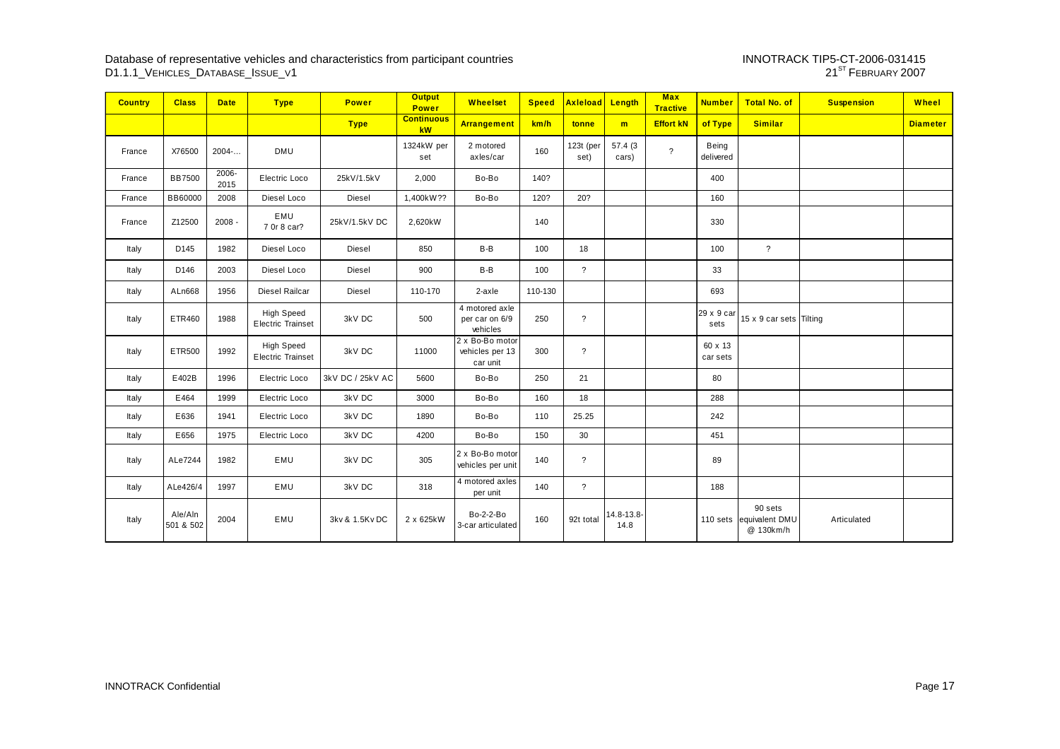# INNOTRACK TIP5-CT-2006-031415<br>21<sup>ST</sup> February 2007

| <b>Country</b> | <b>Class</b>         | <b>Date</b>   | <b>Type</b>                                   | <b>Power</b>     | <b>Output</b><br><b>Power</b> | <b>Wheelset</b>                                | <b>Speed</b> | Axleload Length          |                    | <b>Max</b><br><b>Tractive</b> | <b>Number</b>       | <b>Total No. of</b>                    | <b>Suspension</b> | Wheel           |
|----------------|----------------------|---------------|-----------------------------------------------|------------------|-------------------------------|------------------------------------------------|--------------|--------------------------|--------------------|-------------------------------|---------------------|----------------------------------------|-------------------|-----------------|
|                |                      |               |                                               | <b>Type</b>      | <b>Continuous</b><br>kW       | <b>Arrangement</b>                             | km/h         | tonne                    | m                  | <b>Effort kN</b>              | of Type             | <b>Similar</b>                         |                   | <b>Diameter</b> |
| France         | X76500               | 2004          | <b>DMU</b>                                    |                  | 1324kW per<br>set             | 2 motored<br>axles/car                         | 160          | $123t$ (per<br>set)      | 57.4(3)<br>cars)   | $\overline{?}$                | Being<br>delivered  |                                        |                   |                 |
| France         | <b>BB7500</b>        | 2006-<br>2015 | Electric Loco                                 | 25kV/1.5kV       | 2,000                         | Bo-Bo                                          | 140?         |                          |                    |                               | 400                 |                                        |                   |                 |
| France         | BB60000              | 2008          | Diesel Loco                                   | <b>Diesel</b>    | 1,400kW??                     | Bo-Bo                                          | 120?         | 20?                      |                    |                               | 160                 |                                        |                   |                 |
| France         | Z12500               | $2008 -$      | EMU<br>7 0r 8 car?                            | 25kV/1.5kV DC    | 2,620kW                       |                                                | 140          |                          |                    |                               | 330                 |                                        |                   |                 |
| Italy          | D145                 | 1982          | Diesel Loco                                   | Diesel           | 850                           | B-B                                            | 100          | 18                       |                    |                               | 100                 | $\overline{\mathcal{E}}$               |                   |                 |
| Italy          | D146                 | 2003          | Diesel Loco                                   | Diesel           | 900                           | B-B                                            | 100          | $\overline{?}$           |                    |                               | 33                  |                                        |                   |                 |
| Italy          | ALn668               | 1956          | Diesel Railcar                                | Diesel           | 110-170                       | $2 - ax$                                       | 110-130      |                          |                    |                               | 693                 |                                        |                   |                 |
| Italy          | ETR460               | 1988          | <b>High Speed</b><br><b>Electric Trainset</b> | 3kV DC           | 500                           | 4 motored axle<br>per car on 6/9<br>vehicles   | 250          | $\overline{\phantom{a}}$ |                    |                               | 29 x 9 car<br>sets  | 15 x 9 car sets Tilting                |                   |                 |
| Italy          | ETR500               | 1992          | <b>High Speed</b><br><b>Electric Trainset</b> | 3kV DC           | 11000                         | 2 x Bo-Bo motor<br>vehicles per 13<br>car unit | 300          | $\overline{\phantom{a}}$ |                    |                               | 60 x 13<br>car sets |                                        |                   |                 |
| Italy          | E402B                | 1996          | Electric Loco                                 | 3kV DC / 25kV AC | 5600                          | Bo-Bo                                          | 250          | 21                       |                    |                               | 80                  |                                        |                   |                 |
| Italy          | E464                 | 1999          | Electric Loco                                 | 3kV DC           | 3000                          | Bo-Bo                                          | 160          | 18                       |                    |                               | 288                 |                                        |                   |                 |
| Italy          | E636                 | 1941          | Electric Loco                                 | 3kV DC           | 1890                          | Bo-Bo                                          | 110          | 25.25                    |                    |                               | 242                 |                                        |                   |                 |
| Italy          | E656                 | 1975          | Electric Loco                                 | 3kV DC           | 4200                          | Bo-Bo                                          | 150          | 30                       |                    |                               | 451                 |                                        |                   |                 |
| Italy          | ALe7244              | 1982          | EMU                                           | 3kV DC           | 305                           | 2 x Bo-Bo motor<br>vehicles per unit           | 140          | $\overline{\phantom{a}}$ |                    |                               | 89                  |                                        |                   |                 |
| Italy          | ALe426/4             | 1997          | EMU                                           | 3kV DC           | 318                           | 4 motored axles<br>per unit                    | 140          | $\overline{?}$           |                    |                               | 188                 |                                        |                   |                 |
| Italy          | Ale/Aln<br>501 & 502 | 2004          | EMU                                           | 3kv & 1.5Kv DC   | 2 x 625kW                     | Bo-2-2-Bo<br>3-car articulated                 | 160          | 92t total                | 14.8-13.8-<br>14.8 |                               | 110 sets            | 90 sets<br>equivalent DMU<br>@ 130km/h | Articulated       |                 |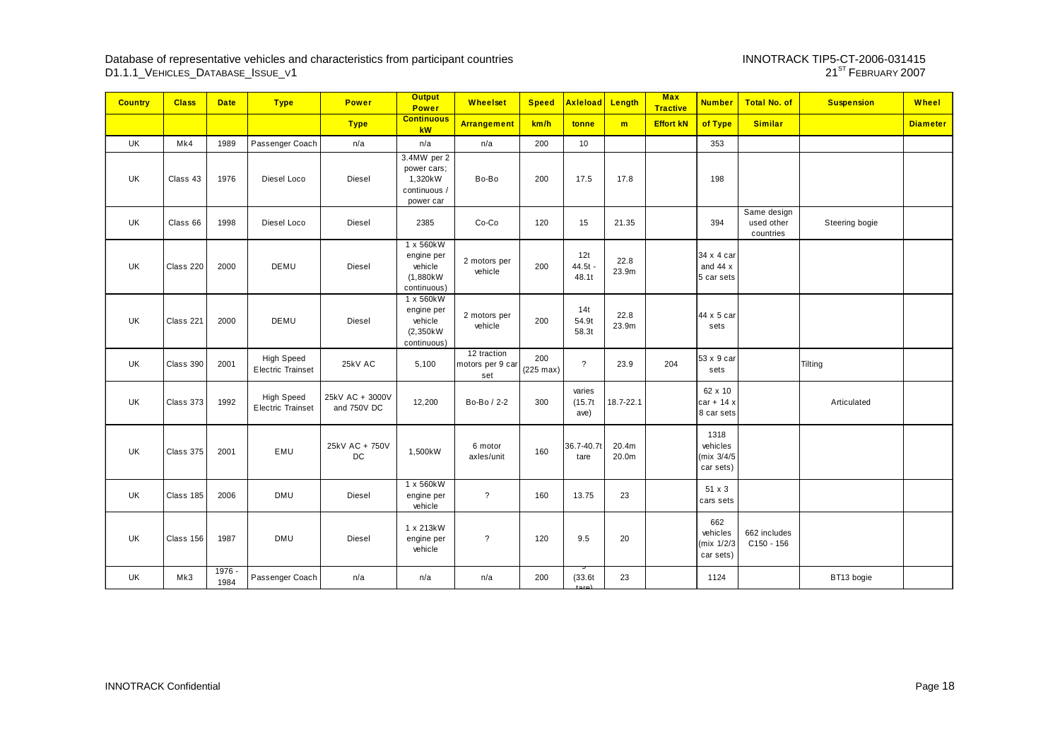# INNOTRACK TIP5-CT-2006-031415<br>21<sup>ST</sup> February 2007

| <b>Country</b> | <b>Class</b> | <b>Date</b>      | <b>Type</b>                                   | <b>Power</b>                   | <b>Output</b><br><b>Power</b>                                      | <b>Wheelset</b>                        | <b>Speed</b>               | <b>Axleload</b>           | Length         | <b>Max</b><br><b>Tractive</b> | <b>Number</b>                               | <b>Total No. of</b>                    | <b>Suspension</b> | Wheel           |
|----------------|--------------|------------------|-----------------------------------------------|--------------------------------|--------------------------------------------------------------------|----------------------------------------|----------------------------|---------------------------|----------------|-------------------------------|---------------------------------------------|----------------------------------------|-------------------|-----------------|
|                |              |                  |                                               | <b>Type</b>                    | <b>Continuous</b><br>kW                                            | <b>Arrangement</b>                     | km/h                       | tonne                     | m              | <b>Effort kN</b>              | of Type                                     | <b>Similar</b>                         |                   | <b>Diameter</b> |
| UK             | Mk4          | 1989             | Passenger Coach                               | n/a                            | n/a                                                                | n/a                                    | 200                        | 10                        |                |                               | 353                                         |                                        |                   |                 |
| UK             | Class 43     | 1976             | Diesel Loco                                   | Diesel                         | 3.4MW per 2<br>power cars;<br>1,320kW<br>continuous /<br>power car | Bo-Bo                                  | 200                        | 17.5                      | 17.8           |                               | 198                                         |                                        |                   |                 |
| UK             | Class 66     | 1998             | Diesel Loco                                   | Diesel                         | 2385                                                               | Co-Co                                  | 120                        | 15                        | 21.35          |                               | 394                                         | Same design<br>used other<br>countries | Steering bogie    |                 |
| UK             | Class 220    | 2000             | DEMU                                          | <b>Diesel</b>                  | 1 x 560kW<br>engine per<br>vehicle<br>(1,880kW)<br>continuous)     | 2 motors per<br>vehicle                | 200                        | 12t<br>$44.5t -$<br>48.1t | 22.8<br>23.9m  |                               | 34 x 4 car<br>and $44x$<br>5 car sets       |                                        |                   |                 |
| UK             | Class 221    | 2000             | DEMU                                          | Diesel                         | 1 x 560kW<br>engine per<br>vehicle<br>(2,350kW<br>continuous)      | 2 motors per<br>vehicle                | 200                        | 14t<br>54.9t<br>58.3t     | 22.8<br>23.9m  |                               | 44 x 5 car<br>sets                          |                                        |                   |                 |
| UK             | Class 390    | 2001             | <b>High Speed</b><br><b>Electric Trainset</b> | 25kV AC                        | 5,100                                                              | 12 traction<br>motors per 9 car<br>set | 200<br>$(225 \text{ max})$ | $\overline{?}$            | 23.9           | 204                           | 53 x 9 car<br>sets                          |                                        | Tilting           |                 |
| <b>UK</b>      | Class 373    | 1992             | <b>High Speed</b><br><b>Electric Trainset</b> | 25kV AC + 3000V<br>and 750V DC | 12,200                                                             | Bo-Bo / 2-2                            | 300                        | varies<br>(15.7t<br>ave)  | 18.7-22.1      |                               | 62 x 10<br>$car + 14x$<br>8 car sets        |                                        | Articulated       |                 |
| UK             | Class 375    | 2001             | EMU                                           | 25kV AC + 750V<br>DC           | 1,500kW                                                            | 6 motor<br>axles/unit                  | 160                        | 36.7-40.7t<br>tare        | 20.4m<br>20.0m |                               | 1318<br>vehicles<br>(mix 3/4/5<br>car sets) |                                        |                   |                 |
| UK             | Class 185    | 2006             | <b>DMU</b>                                    | Diesel                         | 1 x 560kW<br>engine per<br>vehicle                                 | $\overline{?}$                         | 160                        | 13.75                     | 23             |                               | 51 x 3<br>cars sets                         |                                        |                   |                 |
| UK             | Class 156    | 1987             | <b>DMU</b>                                    | <b>Diesel</b>                  | 1 x 213kW<br>engine per<br>vehicle                                 | $\overline{?}$                         | 120                        | 9.5                       | 20             |                               | 662<br>vehicles<br>(mix 1/2/3<br>car sets)  | 662 includes<br>$C150 - 156$           |                   |                 |
| UK             | Mk3          | $1976 -$<br>1984 | Passenger Coach                               | n/a                            | n/a                                                                | n/a                                    | 200                        | (33.6t)                   | 23             |                               | 1124                                        |                                        | BT13 bogie        |                 |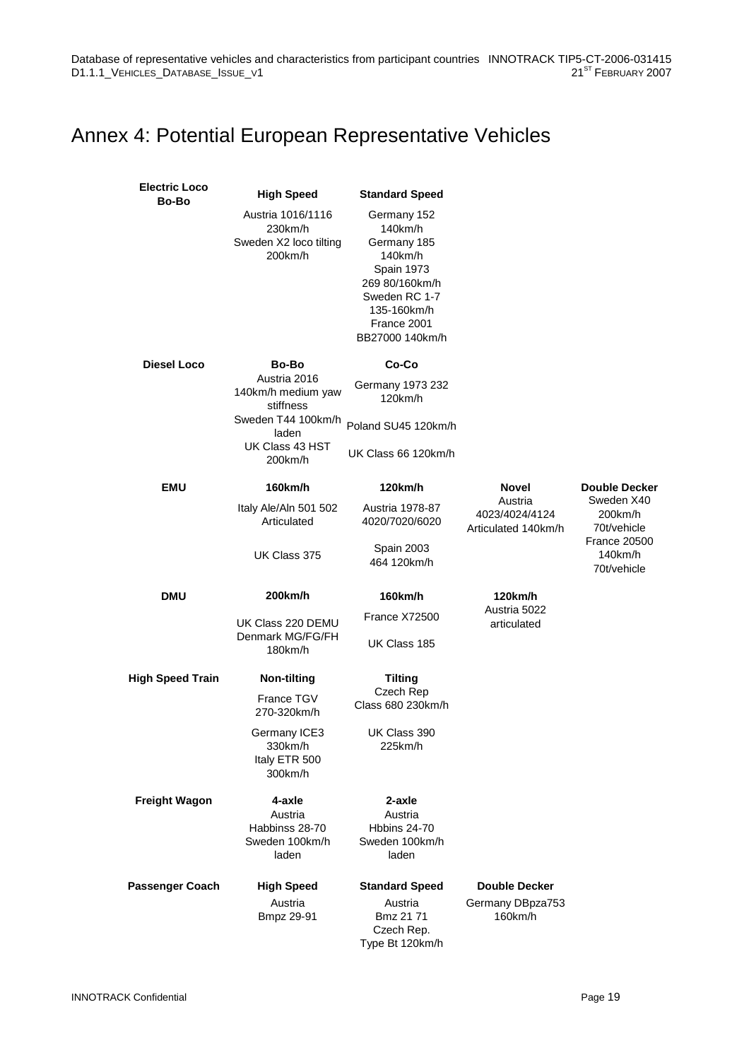## Annex 4: Potential European Representative Vehicles

| <b>Electric Loco</b><br>Bo-Bo | <b>High Speed</b>                                                 | <b>Standard Speed</b>                                                                                                                                     |                                                     |                                                                                                               |  |  |
|-------------------------------|-------------------------------------------------------------------|-----------------------------------------------------------------------------------------------------------------------------------------------------------|-----------------------------------------------------|---------------------------------------------------------------------------------------------------------------|--|--|
|                               | Austria 1016/1116<br>230km/h<br>Sweden X2 loco tilting<br>200km/h | Germany 152<br>140km/h<br>Germany 185<br>140km/h<br><b>Spain 1973</b><br>269 80/160km/h<br>Sweden RC 1-7<br>135-160km/h<br>France 2001<br>BB27000 140km/h |                                                     |                                                                                                               |  |  |
| <b>Diesel Loco</b>            | <b>Bo-Bo</b>                                                      | Co-Co                                                                                                                                                     |                                                     |                                                                                                               |  |  |
|                               | Austria 2016<br>140km/h medium yaw<br>stiffness                   | Germany 1973 232<br>$120$ km/h                                                                                                                            |                                                     |                                                                                                               |  |  |
|                               | Sweden T44 100km/h<br>laden                                       | Poland SU45 120km/h                                                                                                                                       |                                                     |                                                                                                               |  |  |
|                               | UK Class 43 HST<br>200km/h                                        | UK Class 66 120km/h                                                                                                                                       |                                                     |                                                                                                               |  |  |
| <b>EMU</b>                    | 160km/h                                                           | 120km/h                                                                                                                                                   | <b>Novel</b>                                        | <b>Double Decker</b><br>Sweden X40<br>200km/h<br>70t/vehicle<br><b>France 20500</b><br>140km/h<br>70t/vehicle |  |  |
|                               | Italy Ale/Aln 501 502<br>Articulated                              | Austria 1978-87<br>4020/7020/6020                                                                                                                         | Austria<br>4023/4024/4124<br>Articulated 140km/h    |                                                                                                               |  |  |
|                               | UK Class 375                                                      | <b>Spain 2003</b><br>464 120km/h                                                                                                                          |                                                     |                                                                                                               |  |  |
| <b>DMU</b>                    | 200km/h                                                           | 160km/h                                                                                                                                                   | 120km/h<br>Austria 5022                             |                                                                                                               |  |  |
|                               | UK Class 220 DEMU<br>Denmark MG/FG/FH<br>180km/h                  | France X72500<br>UK Class 185                                                                                                                             | articulated                                         |                                                                                                               |  |  |
| <b>High Speed Train</b>       | <b>Non-tilting</b>                                                | <b>Tilting</b>                                                                                                                                            |                                                     |                                                                                                               |  |  |
|                               | France TGV<br>270-320km/h                                         | Czech Rep<br>Class 680 230km/h                                                                                                                            |                                                     |                                                                                                               |  |  |
|                               | Germany ICE3<br>330km/h<br>Italy ETR 500<br>300km/h               | UK Class 390<br>225km/h                                                                                                                                   |                                                     |                                                                                                               |  |  |
| <b>Freight Wagon</b>          | 4-axle<br>Austria<br>Habbinss 28-70<br>Sweden 100km/h<br>laden    | 2-axle<br>Austria<br>Hbbins 24-70<br>Sweden 100km/h<br>laden                                                                                              |                                                     |                                                                                                               |  |  |
| <b>Passenger Coach</b>        | <b>High Speed</b><br>Austria<br>Bmpz 29-91                        | <b>Standard Speed</b><br>Austria<br>Bmz 21 71<br>Czech Rep.<br>Type Bt 120km/h                                                                            | <b>Double Decker</b><br>Germany DBpza753<br>160km/h |                                                                                                               |  |  |